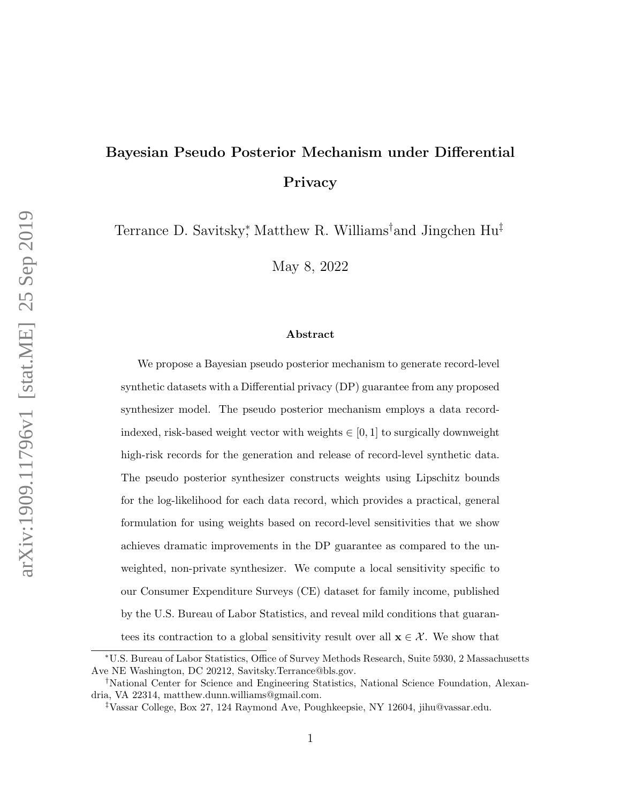# Bayesian Pseudo Posterior Mechanism under Differential Privacy

Terrance D. Savitsky<sup>\*</sup>, Matthew R. Williams<sup>†</sup>and Jingchen Hu<sup>‡</sup>

May 8, 2022

### Abstract

We propose a Bayesian pseudo posterior mechanism to generate record-level synthetic datasets with a Differential privacy (DP) guarantee from any proposed synthesizer model. The pseudo posterior mechanism employs a data recordindexed, risk-based weight vector with weights  $\in [0, 1]$  to surgically downweight high-risk records for the generation and release of record-level synthetic data. The pseudo posterior synthesizer constructs weights using Lipschitz bounds for the log-likelihood for each data record, which provides a practical, general formulation for using weights based on record-level sensitivities that we show achieves dramatic improvements in the DP guarantee as compared to the unweighted, non-private synthesizer. We compute a local sensitivity specific to our Consumer Expenditure Surveys (CE) dataset for family income, published by the U.S. Bureau of Labor Statistics, and reveal mild conditions that guarantees its contraction to a global sensitivity result over all  $\mathbf{x} \in \mathcal{X}$ . We show that

<sup>∗</sup>U.S. Bureau of Labor Statistics, Office of Survey Methods Research, Suite 5930, 2 Massachusetts Ave NE Washington, DC 20212, Savitsky.Terrance@bls.gov.

<sup>†</sup>National Center for Science and Engineering Statistics, National Science Foundation, Alexandria, VA 22314, matthew.dunn.williams@gmail.com.

<sup>‡</sup>Vassar College, Box 27, 124 Raymond Ave, Poughkeepsie, NY 12604, jihu@vassar.edu.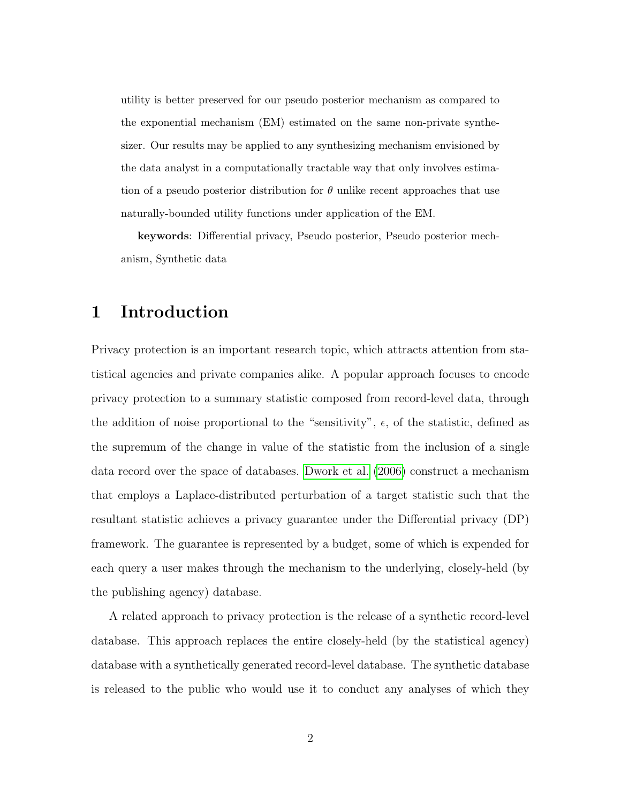utility is better preserved for our pseudo posterior mechanism as compared to the exponential mechanism (EM) estimated on the same non-private synthesizer. Our results may be applied to any synthesizing mechanism envisioned by the data analyst in a computationally tractable way that only involves estimation of a pseudo posterior distribution for  $\theta$  unlike recent approaches that use naturally-bounded utility functions under application of the EM.

keywords: Differential privacy, Pseudo posterior, Pseudo posterior mechanism, Synthetic data

## 1 Introduction

Privacy protection is an important research topic, which attracts attention from statistical agencies and private companies alike. A popular approach focuses to encode privacy protection to a summary statistic composed from record-level data, through the addition of noise proportional to the "sensitivity",  $\epsilon$ , of the statistic, defined as the supremum of the change in value of the statistic from the inclusion of a single data record over the space of databases. [Dwork et al.](#page-29-0) [\(2006\)](#page-29-0) construct a mechanism that employs a Laplace-distributed perturbation of a target statistic such that the resultant statistic achieves a privacy guarantee under the Differential privacy (DP) framework. The guarantee is represented by a budget, some of which is expended for each query a user makes through the mechanism to the underlying, closely-held (by the publishing agency) database.

A related approach to privacy protection is the release of a synthetic record-level database. This approach replaces the entire closely-held (by the statistical agency) database with a synthetically generated record-level database. The synthetic database is released to the public who would use it to conduct any analyses of which they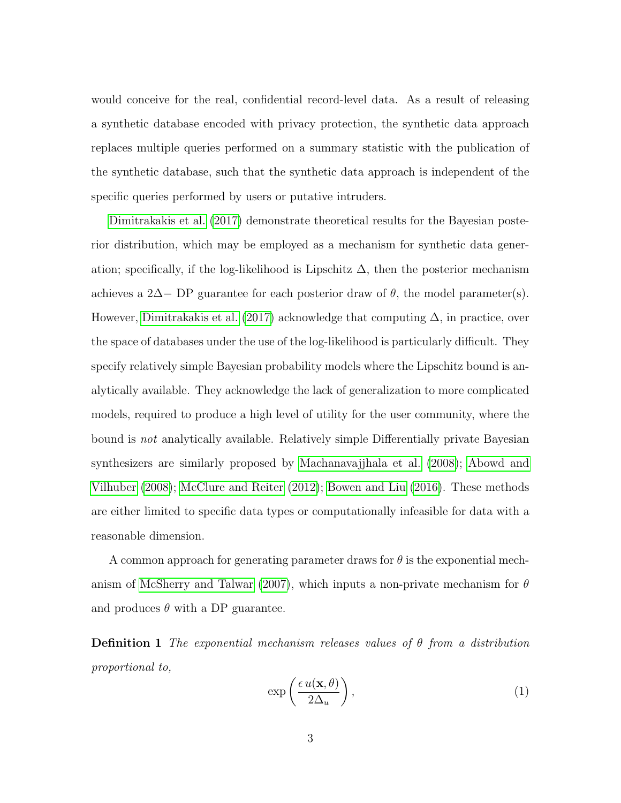would conceive for the real, confidential record-level data. As a result of releasing a synthetic database encoded with privacy protection, the synthetic data approach replaces multiple queries performed on a summary statistic with the publication of the synthetic database, such that the synthetic data approach is independent of the specific queries performed by users or putative intruders.

[Dimitrakakis et al.](#page-29-1) [\(2017\)](#page-29-1) demonstrate theoretical results for the Bayesian posterior distribution, which may be employed as a mechanism for synthetic data generation; specifically, if the log-likelihood is Lipschitz  $\Delta$ , then the posterior mechanism achieves a 2∆− DP guarantee for each posterior draw of  $\theta$ , the model parameter(s). However, [Dimitrakakis et al.](#page-29-1) [\(2017\)](#page-29-1) acknowledge that computing  $\Delta$ , in practice, over the space of databases under the use of the log-likelihood is particularly difficult. They specify relatively simple Bayesian probability models where the Lipschitz bound is analytically available. They acknowledge the lack of generalization to more complicated models, required to produce a high level of utility for the user community, where the bound is not analytically available. Relatively simple Differentially private Bayesian synthesizers are similarly proposed by [Machanavajjhala et al.](#page-29-2) [\(2008\)](#page-29-2); [Abowd and](#page-28-0) [Vilhuber](#page-28-0) [\(2008\)](#page-28-0); [McClure and Reiter](#page-29-3) [\(2012\)](#page-29-3); [Bowen and Liu](#page-29-4) [\(2016\)](#page-29-4). These methods are either limited to specific data types or computationally infeasible for data with a reasonable dimension.

A common approach for generating parameter draws for  $\theta$  is the exponential mech-anism of [McSherry and Talwar](#page-29-5) [\(2007\)](#page-29-5), which inputs a non-private mechanism for  $\theta$ and produces  $\theta$  with a DP guarantee.

**Definition 1** The exponential mechanism releases values of  $\theta$  from a distribution proportional to,

$$
\exp\left(\frac{\epsilon u(\mathbf{x},\theta)}{2\Delta_u}\right),\tag{1}
$$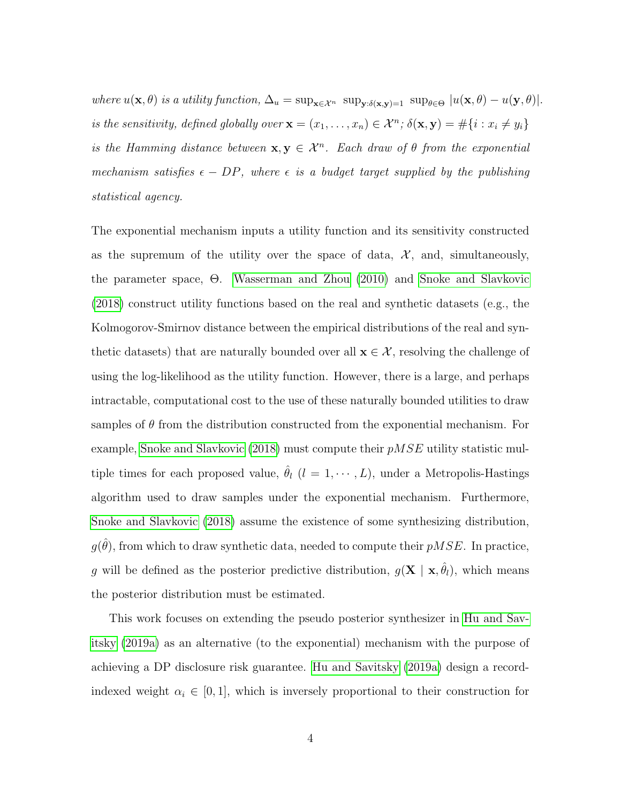where  $u(\mathbf{x}, \theta)$  is a utility function,  $\Delta_u = \sup_{\mathbf{x} \in \mathcal{X}^n} \sup_{\mathbf{y}: \delta(\mathbf{x}, \mathbf{y})=1} \sup_{\theta \in \Theta} |u(\mathbf{x}, \theta) - u(\mathbf{y}, \theta)|$ . is the sensitivity, defined globally over  $\mathbf{x} = (x_1, \ldots, x_n) \in \mathcal{X}^n$ ;  $\delta(\mathbf{x}, \mathbf{y}) = \#\{i : x_i \neq y_i\}$ is the Hamming distance between  $\mathbf{x}, \mathbf{y} \in \mathcal{X}^n$ . Each draw of  $\theta$  from the exponential mechanism satisfies  $\epsilon - DP$ , where  $\epsilon$  is a budget target supplied by the publishing statistical agency.

The exponential mechanism inputs a utility function and its sensitivity constructed as the supremum of the utility over the space of data,  $\mathcal{X}$ , and, simultaneously, the parameter space, Θ. [Wasserman and Zhou](#page-30-0) [\(2010\)](#page-30-0) and [Snoke and Slavkovic](#page-30-1) [\(2018\)](#page-30-1) construct utility functions based on the real and synthetic datasets (e.g., the Kolmogorov-Smirnov distance between the empirical distributions of the real and synthetic datasets) that are naturally bounded over all  $\mathbf{x} \in \mathcal{X}$ , resolving the challenge of using the log-likelihood as the utility function. However, there is a large, and perhaps intractable, computational cost to the use of these naturally bounded utilities to draw samples of  $\theta$  from the distribution constructed from the exponential mechanism. For example, [Snoke and Slavkovic](#page-30-1) [\(2018\)](#page-30-1) must compute their  $pMSE$  utility statistic multiple times for each proposed value,  $\hat{\theta}_l$   $(l = 1, \dots, L)$ , under a Metropolis-Hastings algorithm used to draw samples under the exponential mechanism. Furthermore, [Snoke and Slavkovic](#page-30-1) [\(2018\)](#page-30-1) assume the existence of some synthesizing distribution,  $g(\hat{\theta})$ , from which to draw synthetic data, needed to compute their  $pMSE$ . In practice, g will be defined as the posterior predictive distribution,  $g(\mathbf{X} \mid \mathbf{x}, \hat{\theta}_l)$ , which means the posterior distribution must be estimated.

This work focuses on extending the pseudo posterior synthesizer in [Hu and Sav](#page-29-6)[itsky](#page-29-6) [\(2019a\)](#page-29-6) as an alternative (to the exponential) mechanism with the purpose of achieving a DP disclosure risk guarantee. [Hu and Savitsky](#page-29-6) [\(2019a\)](#page-29-6) design a recordindexed weight  $\alpha_i \in [0,1]$ , which is inversely proportional to their construction for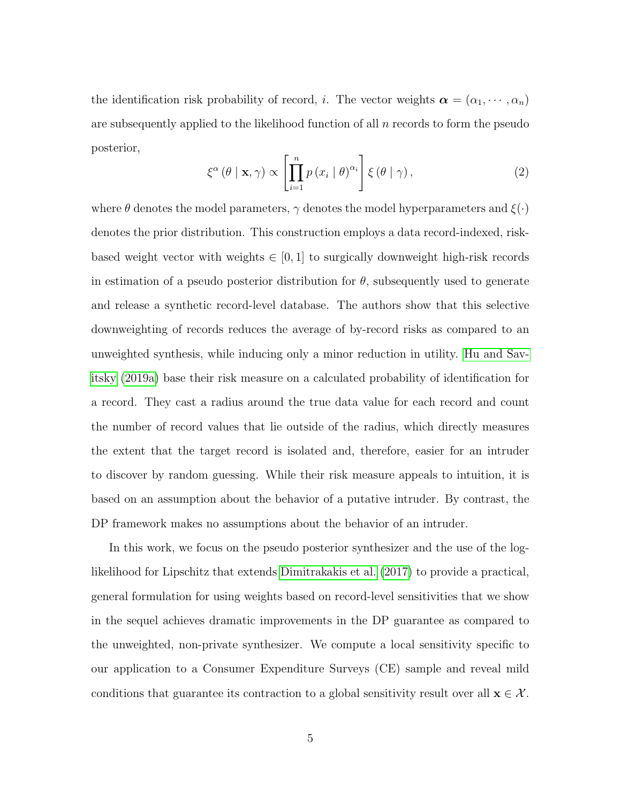the identification risk probability of record, *i*. The vector weights  $\boldsymbol{\alpha} = (\alpha_1, \dots, \alpha_n)$ are subsequently applied to the likelihood function of all  $n$  records to form the pseudo posterior,

$$
\xi^{\alpha}(\theta \mid \mathbf{x}, \gamma) \propto \left[ \prod_{i=1}^{n} p(x_i \mid \theta)^{\alpha_i} \right] \xi(\theta \mid \gamma), \qquad (2)
$$

where  $\theta$  denotes the model parameters,  $\gamma$  denotes the model hyperparameters and  $\xi(\cdot)$ denotes the prior distribution. This construction employs a data record-indexed, riskbased weight vector with weights  $\in [0, 1]$  to surgically downweight high-risk records in estimation of a pseudo posterior distribution for  $\theta$ , subsequently used to generate and release a synthetic record-level database. The authors show that this selective downweighting of records reduces the average of by-record risks as compared to an unweighted synthesis, while inducing only a minor reduction in utility. [Hu and Sav](#page-29-6)[itsky](#page-29-6) [\(2019a\)](#page-29-6) base their risk measure on a calculated probability of identification for a record. They cast a radius around the true data value for each record and count the number of record values that lie outside of the radius, which directly measures the extent that the target record is isolated and, therefore, easier for an intruder to discover by random guessing. While their risk measure appeals to intuition, it is based on an assumption about the behavior of a putative intruder. By contrast, the DP framework makes no assumptions about the behavior of an intruder.

In this work, we focus on the pseudo posterior synthesizer and the use of the loglikelihood for Lipschitz that extends [Dimitrakakis et al.](#page-29-1) [\(2017\)](#page-29-1) to provide a practical, general formulation for using weights based on record-level sensitivities that we show in the sequel achieves dramatic improvements in the DP guarantee as compared to the unweighted, non-private synthesizer. We compute a local sensitivity specific to our application to a Consumer Expenditure Surveys (CE) sample and reveal mild conditions that guarantee its contraction to a global sensitivity result over all  $\mathbf{x} \in \mathcal{X}$ .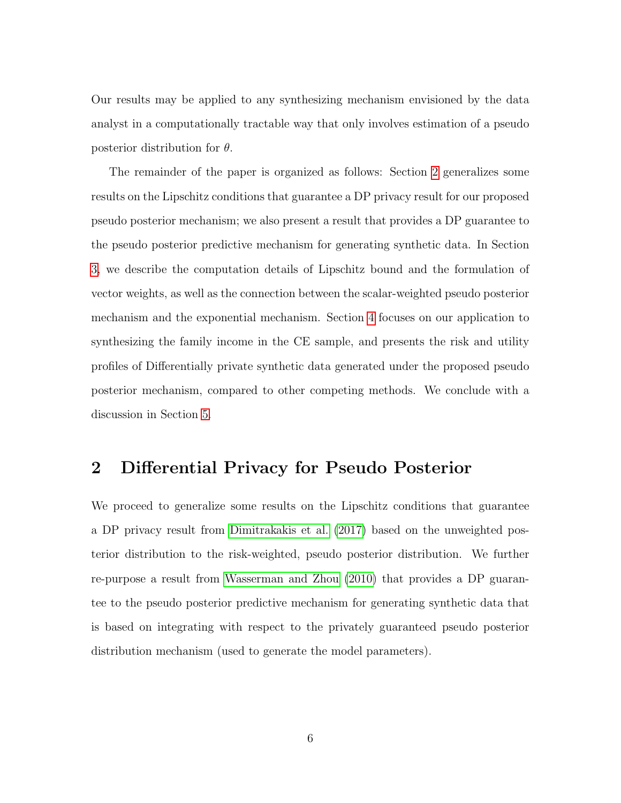Our results may be applied to any synthesizing mechanism envisioned by the data analyst in a computationally tractable way that only involves estimation of a pseudo posterior distribution for  $\theta$ .

The remainder of the paper is organized as follows: Section [2](#page-5-0) generalizes some results on the Lipschitz conditions that guarantee a DP privacy result for our proposed pseudo posterior mechanism; we also present a result that provides a DP guarantee to the pseudo posterior predictive mechanism for generating synthetic data. In Section [3,](#page-15-0) we describe the computation details of Lipschitz bound and the formulation of vector weights, as well as the connection between the scalar-weighted pseudo posterior mechanism and the exponential mechanism. Section [4](#page-18-0) focuses on our application to synthesizing the family income in the CE sample, and presents the risk and utility profiles of Differentially private synthetic data generated under the proposed pseudo posterior mechanism, compared to other competing methods. We conclude with a discussion in Section [5.](#page-27-0)

## <span id="page-5-0"></span>2 Differential Privacy for Pseudo Posterior

We proceed to generalize some results on the Lipschitz conditions that guarantee a DP privacy result from [Dimitrakakis et al.](#page-29-1) [\(2017\)](#page-29-1) based on the unweighted posterior distribution to the risk-weighted, pseudo posterior distribution. We further re-purpose a result from [Wasserman and Zhou](#page-30-0) [\(2010\)](#page-30-0) that provides a DP guarantee to the pseudo posterior predictive mechanism for generating synthetic data that is based on integrating with respect to the privately guaranteed pseudo posterior distribution mechanism (used to generate the model parameters).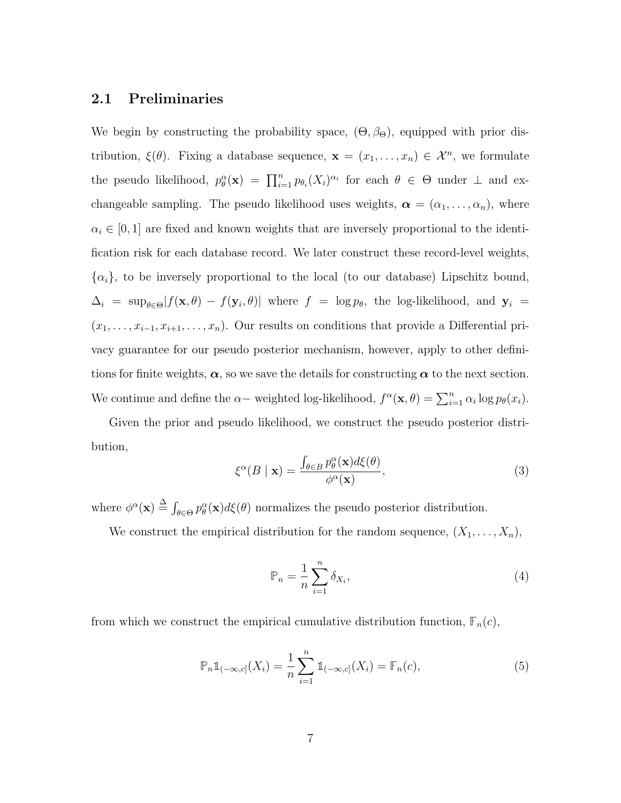### 2.1 Preliminaries

We begin by constructing the probability space,  $(\Theta, \beta_{\Theta})$ , equipped with prior distribution,  $\xi(\theta)$ . Fixing a database sequence,  $\mathbf{x} = (x_1, \dots, x_n) \in \mathcal{X}^n$ , we formulate the pseudo likelihood,  $p_{\theta}^{\alpha}(\mathbf{x}) = \prod_{i=1}^{n} p_{\theta_i}(X_i)^{\alpha_i}$  for each  $\theta \in \Theta$  under  $\perp$  and exchangeable sampling. The pseudo likelihood uses weights,  $\boldsymbol{\alpha} = (\alpha_1, \dots, \alpha_n)$ , where  $\alpha_i \in [0, 1]$  are fixed and known weights that are inversely proportional to the identification risk for each database record. We later construct these record-level weights,  $\{\alpha_i\}$ , to be inversely proportional to the local (to our database) Lipschitz bound,  $\Delta_i = \sup_{\theta \in \Theta} |f(\mathbf{x}, \theta) - f(\mathbf{y}_i, \theta)|$  where  $f = \log p_\theta$ , the log-likelihood, and  $\mathbf{y}_i =$  $(x_1, \ldots, x_{i-1}, x_{i+1}, \ldots, x_n)$ . Our results on conditions that provide a Differential privacy guarantee for our pseudo posterior mechanism, however, apply to other definitions for finite weights,  $\alpha$ , so we save the details for constructing  $\alpha$  to the next section. We continue and define the  $\alpha-$  weighted log-likelihood,  $f^{\alpha}(\mathbf{x}, \theta) = \sum_{i=1}^{n} \alpha_i \log p_{\theta}(x_i)$ .

Given the prior and pseudo likelihood, we construct the pseudo posterior distribution,

$$
\xi^{\alpha}(B \mid \mathbf{x}) = \frac{\int_{\theta \in B} p_{\theta}^{\alpha}(\mathbf{x}) d\xi(\theta)}{\phi^{\alpha}(\mathbf{x})},\tag{3}
$$

where  $\phi^{\alpha}(\mathbf{x}) \stackrel{\Delta}{=} \int_{\theta \in \Theta} p_{\theta}^{\alpha}(\mathbf{x}) d\xi(\theta)$  normalizes the pseudo posterior distribution.

We construct the empirical distribution for the random sequence,  $(X_1, \ldots, X_n)$ ,

$$
\mathbb{P}_n = \frac{1}{n} \sum_{i=1}^n \delta_{X_i},\tag{4}
$$

from which we construct the empirical cumulative distribution function,  $\mathbb{F}_n(c)$ ,

$$
\mathbb{P}_n \mathbb{1}_{(-\infty,c]}(X_i) = \frac{1}{n} \sum_{i=1}^n \mathbb{1}_{(-\infty,c]}(X_i) = \mathbb{F}_n(c),
$$
 (5)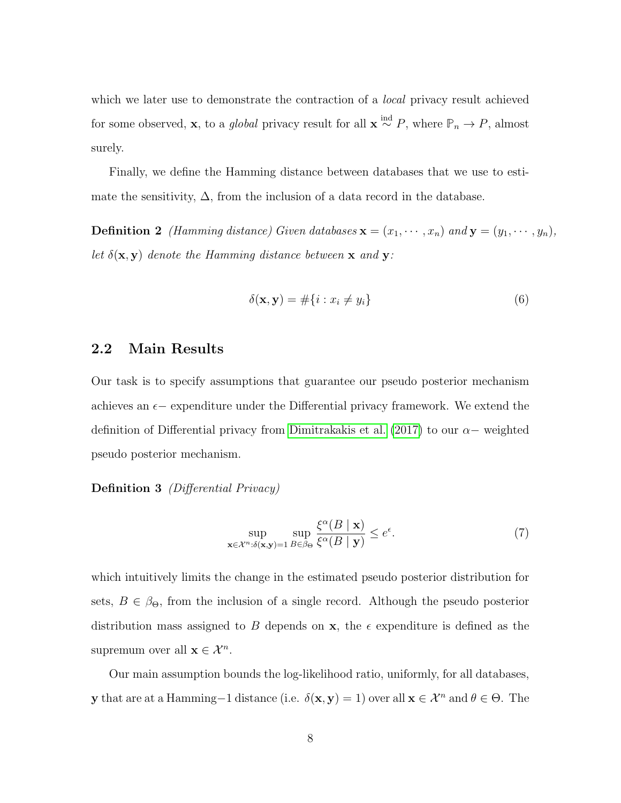which we later use to demonstrate the contraction of a *local* privacy result achieved for some observed, **x**, to a *global* privacy result for all **x**  $\stackrel{\text{ind}}{\sim} P$ , where  $\mathbb{P}_n \to P$ , almost surely.

Finally, we define the Hamming distance between databases that we use to estimate the sensitivity,  $\Delta$ , from the inclusion of a data record in the database.

**Definition 2** *(Hamming distance)* Given databases  $\mathbf{x} = (x_1, \dots, x_n)$  and  $\mathbf{y} = (y_1, \dots, y_n)$ , let  $\delta(\mathbf{x}, \mathbf{y})$  denote the Hamming distance between  $\mathbf{x}$  and  $\mathbf{y}$ :

$$
\delta(\mathbf{x}, \mathbf{y}) = #\{i : x_i \neq y_i\}
$$
\n<sup>(6)</sup>

### 2.2 Main Results

Our task is to specify assumptions that guarantee our pseudo posterior mechanism achieves an  $\epsilon$  – expenditure under the Differential privacy framework. We extend the definition of Differential privacy from [Dimitrakakis et al.](#page-29-1) [\(2017\)](#page-29-1) to our  $\alpha-$  weighted pseudo posterior mechanism.

Definition 3 *(Differential Privacy)* 

$$
\sup_{\mathbf{x}\in\mathcal{X}^n:\delta(\mathbf{x},\mathbf{y})=1} \sup_{B\in\beta_\Theta} \frac{\xi^\alpha(B \mid \mathbf{x})}{\xi^\alpha(B \mid \mathbf{y})} \le e^\epsilon. \tag{7}
$$

which intuitively limits the change in the estimated pseudo posterior distribution for sets,  $B \in \beta_{\Theta}$ , from the inclusion of a single record. Although the pseudo posterior distribution mass assigned to B depends on  $x$ , the  $\epsilon$  expenditure is defined as the supremum over all  $\mathbf{x} \in \mathcal{X}^n$ .

Our main assumption bounds the log-likelihood ratio, uniformly, for all databases, y that are at a Hamming−1 distance (i.e.  $\delta(\mathbf{x}, \mathbf{y}) = 1$ ) over all  $\mathbf{x} \in \mathcal{X}^n$  and  $\theta \in \Theta$ . The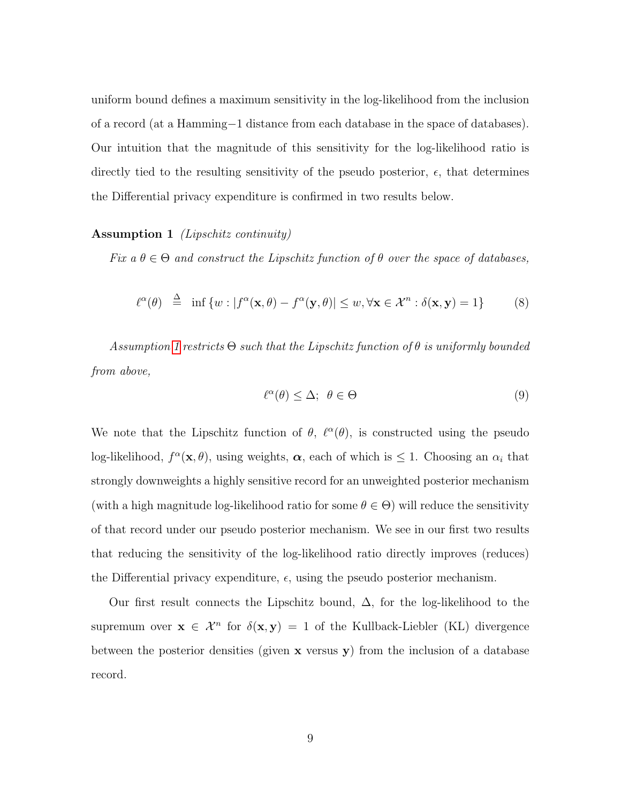uniform bound defines a maximum sensitivity in the log-likelihood from the inclusion of a record (at a Hamming−1 distance from each database in the space of databases). Our intuition that the magnitude of this sensitivity for the log-likelihood ratio is directly tied to the resulting sensitivity of the pseudo posterior,  $\epsilon$ , that determines the Differential privacy expenditure is confirmed in two results below.

### <span id="page-8-0"></span>Assumption 1 (Lipschitz continuity)

Fix  $a \theta \in \Theta$  and construct the Lipschitz function of  $\theta$  over the space of databases,

$$
\ell^{\alpha}(\theta) \stackrel{\Delta}{=} \inf \{ w : |f^{\alpha}(\mathbf{x}, \theta) - f^{\alpha}(\mathbf{y}, \theta)| \le w, \forall \mathbf{x} \in \mathcal{X}^{n} : \delta(\mathbf{x}, \mathbf{y}) = 1 \}
$$
 (8)

Assumption [1](#page-8-0) restricts  $\Theta$  such that the Lipschitz function of  $\theta$  is uniformly bounded from above,

$$
\ell^{\alpha}(\theta) \leq \Delta; \ \theta \in \Theta \tag{9}
$$

We note that the Lipschitz function of  $\theta$ ,  $\ell^{\alpha}(\theta)$ , is constructed using the pseudo log-likelihood,  $f^{\alpha}(\mathbf{x}, \theta)$ , using weights,  $\alpha$ , each of which is  $\leq 1$ . Choosing an  $\alpha_i$  that strongly downweights a highly sensitive record for an unweighted posterior mechanism (with a high magnitude log-likelihood ratio for some  $\theta \in \Theta$ ) will reduce the sensitivity of that record under our pseudo posterior mechanism. We see in our first two results that reducing the sensitivity of the log-likelihood ratio directly improves (reduces) the Differential privacy expenditure,  $\epsilon$ , using the pseudo posterior mechanism.

<span id="page-8-1"></span>Our first result connects the Lipschitz bound,  $\Delta$ , for the log-likelihood to the supremum over  $\mathbf{x} \in \mathcal{X}^n$  for  $\delta(\mathbf{x}, \mathbf{y}) = 1$  of the Kullback-Liebler (KL) divergence between the posterior densities (given  $x$  versus  $y$ ) from the inclusion of a database record.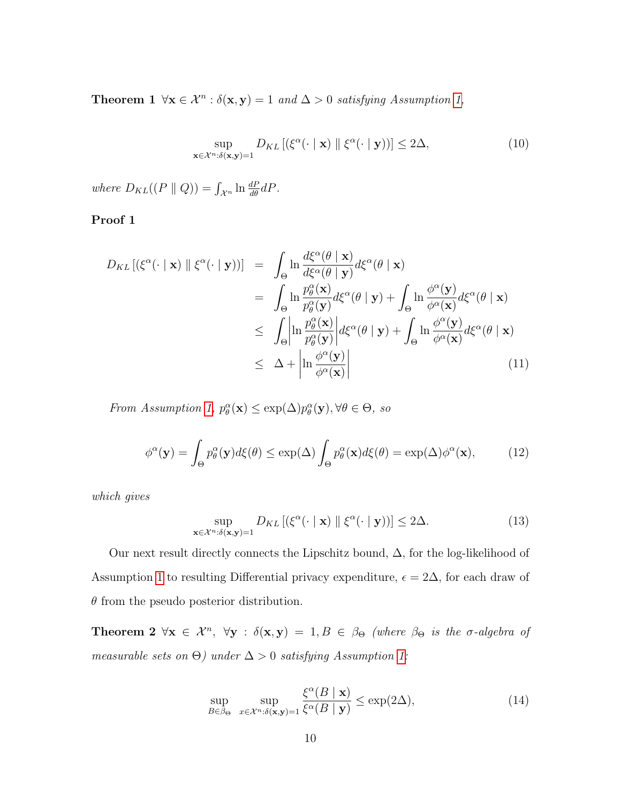**Theorem 1**  $\forall x \in \mathcal{X}^n : \delta(x, y) = 1$  and  $\Delta > 0$  satisfying Assumption [1,](#page-8-0)

$$
\sup_{\mathbf{x}\in\mathcal{X}^{n}:\delta(\mathbf{x},\mathbf{y})=1}D_{KL}\left[\left(\xi^{\alpha}(\cdot\mid\mathbf{x})\parallel\xi^{\alpha}(\cdot\mid\mathbf{y})\right)\right]\leq 2\Delta,\tag{10}
$$

where  $D_{KL}((P \parallel Q)) = \int_{\mathcal{X}^n} \ln \frac{dP}{d\theta} dP$ .

### Proof 1

$$
D_{KL}[(\xi^{\alpha}(\cdot \mid \mathbf{x}) \parallel \xi^{\alpha}(\cdot \mid \mathbf{y}))] = \int_{\Theta} \ln \frac{d\xi^{\alpha}(\theta \mid \mathbf{x})}{d\xi^{\alpha}(\theta \mid \mathbf{y})} d\xi^{\alpha}(\theta \mid \mathbf{x})
$$
  
\n
$$
= \int_{\Theta} \ln \frac{p_{\theta}^{\alpha}(\mathbf{x})}{p_{\theta}^{\alpha}(\mathbf{y})} d\xi^{\alpha}(\theta \mid \mathbf{y}) + \int_{\Theta} \ln \frac{\phi^{\alpha}(\mathbf{y})}{\phi^{\alpha}(\mathbf{x})} d\xi^{\alpha}(\theta \mid \mathbf{x})
$$
  
\n
$$
\leq \int_{\Theta} \left| \ln \frac{p_{\theta}^{\alpha}(\mathbf{x})}{p_{\theta}^{\alpha}(\mathbf{y})} \right| d\xi^{\alpha}(\theta \mid \mathbf{y}) + \int_{\Theta} \ln \frac{\phi^{\alpha}(\mathbf{y})}{\phi^{\alpha}(\mathbf{x})} d\xi^{\alpha}(\theta \mid \mathbf{x})
$$
  
\n
$$
\leq \Delta + \left| \ln \frac{\phi^{\alpha}(\mathbf{y})}{\phi^{\alpha}(\mathbf{x})} \right|
$$
(11)

From Assumption [1,](#page-8-0)  $p_{\theta}^{\alpha}(\mathbf{x}) \leq \exp(\Delta) p_{\theta}^{\alpha}(\mathbf{y}), \forall \theta \in \Theta$ , so

$$
\phi^{\alpha}(\mathbf{y}) = \int_{\Theta} p^{\alpha}_{\theta}(\mathbf{y}) d\xi(\theta) \le \exp(\Delta) \int_{\Theta} p^{\alpha}_{\theta}(\mathbf{x}) d\xi(\theta) = \exp(\Delta) \phi^{\alpha}(\mathbf{x}), \quad (12)
$$

which gives

<span id="page-9-0"></span>
$$
\sup_{\mathbf{x}\in\mathcal{X}^n:\delta(\mathbf{x},\mathbf{y})=1} D_{KL} \left[ \left( \xi^{\alpha}(\cdot \mid \mathbf{x}) \parallel \xi^{\alpha}(\cdot \mid \mathbf{y}) \right) \right] \le 2\Delta. \tag{13}
$$

Our next result directly connects the Lipschitz bound,  $\Delta$ , for the log-likelihood of Assumption [1](#page-8-0) to resulting Differential privacy expenditure,  $\epsilon = 2\Delta$ , for each draw of  $\theta$  from the pseudo posterior distribution.

Theorem 2  $\forall x \in \mathcal{X}^n$ ,  $\forall y : \delta(x, y) = 1, B \in \beta_{\Theta}$  (where  $\beta_{\Theta}$  is the  $\sigma$ -algebra of measurable sets on  $\Theta$ ) under  $\Delta > 0$  satisfying Assumption [1:](#page-8-0)

$$
\sup_{B \in \beta_{\Theta}} \sup_{x \in \mathcal{X}^n : \delta(\mathbf{x}, \mathbf{y}) = 1} \frac{\xi^{\alpha}(B \mid \mathbf{x})}{\xi^{\alpha}(B \mid \mathbf{y})} \le \exp(2\Delta),\tag{14}
$$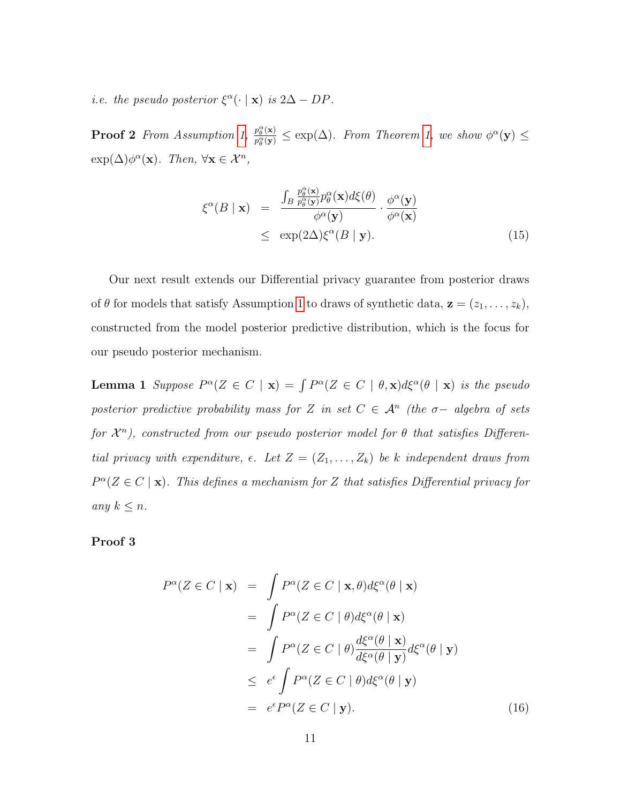*i.e.* the pseudo posterior  $\xi^{\alpha}(\cdot | \mathbf{x})$  is  $2\Delta - DP$ .

**Proof 2** From Assumption [1,](#page-8-0)  $\frac{p_\theta^{\alpha}(\mathbf{x})}{n^{\alpha}(\mathbf{x})}$  $\frac{p_{\theta}^{\alpha}(\mathbf{x})}{p_{\theta}^{\alpha}(\mathbf{y})} \leq \exp(\Delta)$ . From Theorem [1,](#page-8-1) we show  $\phi^{\alpha}(\mathbf{y}) \leq$  $\exp(\Delta)\phi^{\alpha}(\mathbf{x})$ . Then,  $\forall \mathbf{x} \in \mathcal{X}^n$ ,

$$
\xi^{\alpha}(B \mid \mathbf{x}) = \frac{\int_{B} \frac{p_{\theta}^{\alpha}(\mathbf{x})}{p_{\theta}^{\alpha}(\mathbf{y})} p_{\theta}^{\alpha}(\mathbf{x}) d\xi(\theta)}{\phi^{\alpha}(\mathbf{y})} \cdot \frac{\phi^{\alpha}(\mathbf{y})}{\phi^{\alpha}(\mathbf{x})} \leq \exp(2\Delta) \xi^{\alpha}(B \mid \mathbf{y}).
$$
\n(15)

Our next result extends our Differential privacy guarantee from posterior draws of  $\theta$  for models that satisfy Assumption [1](#page-8-0) to draws of synthetic data,  $\mathbf{z} = (z_1, \ldots, z_k)$ , constructed from the model posterior predictive distribution, which is the focus for our pseudo posterior mechanism.

**Lemma 1** Suppose  $P^{\alpha}(Z \in C | \mathbf{x}) = \int P^{\alpha}(Z \in C | \theta, \mathbf{x}) d\xi^{\alpha}(\theta | \mathbf{x})$  is the pseudo posterior predictive probability mass for Z in set  $C \in \mathcal{A}^n$  (the  $\sigma-$  algebra of sets for  $\mathcal{X}^n$ ), constructed from our pseudo posterior model for  $\theta$  that satisfies Differential privacy with expenditure,  $\epsilon$ . Let  $Z = (Z_1, \ldots, Z_k)$  be k independent draws from  $P^{\alpha}(Z \in C \mid \mathbf{x})$ . This defines a mechanism for Z that satisfies Differential privacy for any  $k \leq n$ .

### Proof 3

$$
P^{\alpha}(Z \in C \mid \mathbf{x}) = \int P^{\alpha}(Z \in C \mid \mathbf{x}, \theta) d\xi^{\alpha}(\theta \mid \mathbf{x})
$$
  
\n
$$
= \int P^{\alpha}(Z \in C \mid \theta) d\xi^{\alpha}(\theta \mid \mathbf{x})
$$
  
\n
$$
= \int P^{\alpha}(Z \in C \mid \theta) \frac{d\xi^{\alpha}(\theta \mid \mathbf{x})}{d\xi^{\alpha}(\theta \mid \mathbf{y})} d\xi^{\alpha}(\theta \mid \mathbf{y})
$$
  
\n
$$
\leq e^{\epsilon} \int P^{\alpha}(Z \in C \mid \theta) d\xi^{\alpha}(\theta \mid \mathbf{y})
$$
  
\n
$$
= e^{\epsilon} P^{\alpha}(Z \in C \mid \mathbf{y}). \tag{16}
$$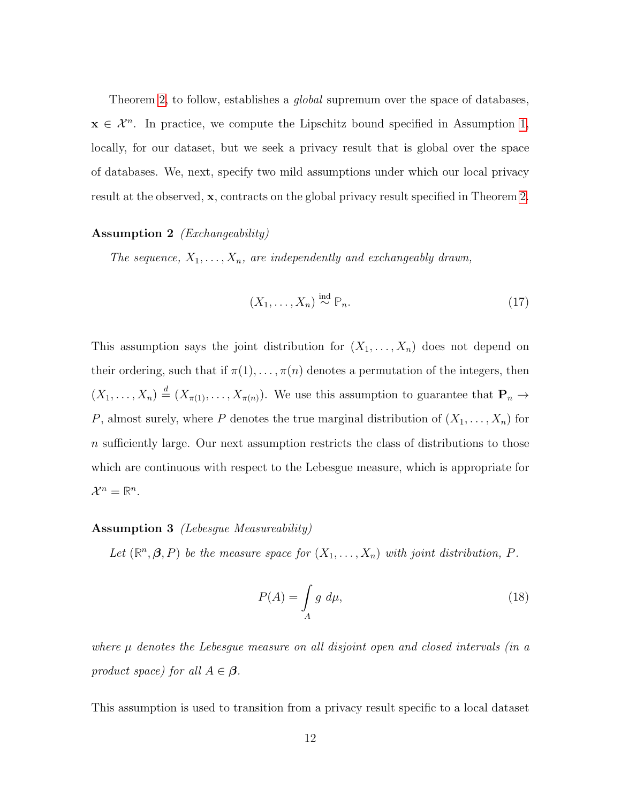Theorem [2,](#page-9-0) to follow, establishes a *global* supremum over the space of databases,  $x \in \mathcal{X}^n$ . In practice, we compute the Lipschitz bound specified in Assumption [1,](#page-8-0) locally, for our dataset, but we seek a privacy result that is global over the space of databases. We, next, specify two mild assumptions under which our local privacy result at the observed, x, contracts on the global privacy result specified in Theorem [2.](#page-9-0)

### <span id="page-11-1"></span>Assumption 2 (Exchangeability)

The sequence,  $X_1, \ldots, X_n$ , are independently and exchangeably drawn,

$$
(X_1, \ldots, X_n) \stackrel{\text{ind}}{\sim} \mathbb{P}_n. \tag{17}
$$

This assumption says the joint distribution for  $(X_1, \ldots, X_n)$  does not depend on their ordering, such that if  $\pi(1), \ldots, \pi(n)$  denotes a permutation of the integers, then  $(X_1,\ldots,X_n) \stackrel{d}{=} (X_{\pi(1)},\ldots,X_{\pi(n)})$ . We use this assumption to guarantee that  $\mathbf{P}_n \to$ P, almost surely, where P denotes the true marginal distribution of  $(X_1, \ldots, X_n)$  for n sufficiently large. Our next assumption restricts the class of distributions to those which are continuous with respect to the Lebesgue measure, which is appropriate for  $\mathcal{X}^n = \mathbb{R}^n$ .

#### <span id="page-11-0"></span>Assumption 3 (Lebesgue Measureability)

Let  $(\mathbb{R}^n, \beta, P)$  be the measure space for  $(X_1, \ldots, X_n)$  with joint distribution, P.

$$
P(A) = \int_{A} g \ d\mu,\tag{18}
$$

where  $\mu$  denotes the Lebesque measure on all disjoint open and closed intervals (in a product space) for all  $A \in \mathcal{B}$ .

This assumption is used to transition from a privacy result specific to a local dataset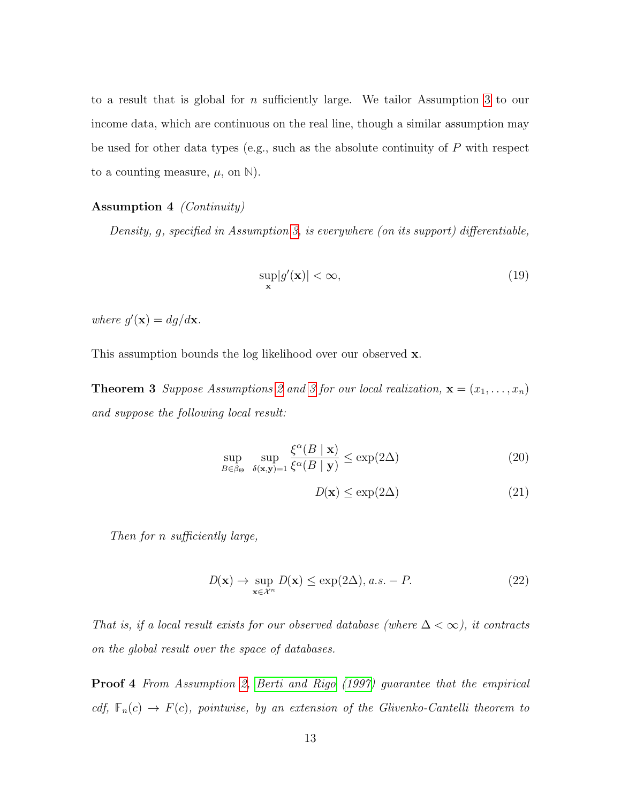to a result that is global for n sufficiently large. We tailor Assumption [3](#page-11-0) to our income data, which are continuous on the real line, though a similar assumption may be used for other data types (e.g., such as the absolute continuity of  $P$  with respect to a counting measure,  $\mu$ , on  $\mathbb{N}$ ).

### <span id="page-12-0"></span>Assumption 4 (Continuity)

Density, g, specified in Assumption [3,](#page-11-0) is everywhere (on its support) differentiable,

$$
\sup_{\mathbf{x}} |g'(\mathbf{x})| < \infty,\tag{19}
$$

where  $g'(\mathbf{x}) = dg/d\mathbf{x}$ .

This assumption bounds the log likelihood over our observed **x**.

**Theorem [3](#page-11-0)** Suppose Assumptions [2](#page-11-1) and 3 for our local realization,  $\mathbf{x} = (x_1, \ldots, x_n)$ and suppose the following local result:

$$
\sup_{B \in \beta_{\Theta}} \sup_{\delta(\mathbf{x}, \mathbf{y}) = 1} \frac{\xi^{\alpha}(B \mid \mathbf{x})}{\xi^{\alpha}(B \mid \mathbf{y})} \le \exp(2\Delta)
$$
\n(20)

$$
D(\mathbf{x}) \le \exp(2\Delta) \tag{21}
$$

Then for n sufficiently large,

$$
D(\mathbf{x}) \to \sup_{\mathbf{x} \in \mathcal{X}^n} D(\mathbf{x}) \le \exp(2\Delta), \, a.s. - P. \tag{22}
$$

That is, if a local result exists for our observed database (where  $\Delta < \infty$ ), it contracts on the global result over the space of databases.

**Proof 4** From Assumption [2,](#page-11-1) [Berti and Rigo](#page-28-1) [\(1997\)](#page-28-1) guarantee that the empirical cdf,  $\mathbb{F}_n(c) \to F(c)$ , pointwise, by an extension of the Glivenko-Cantelli theorem to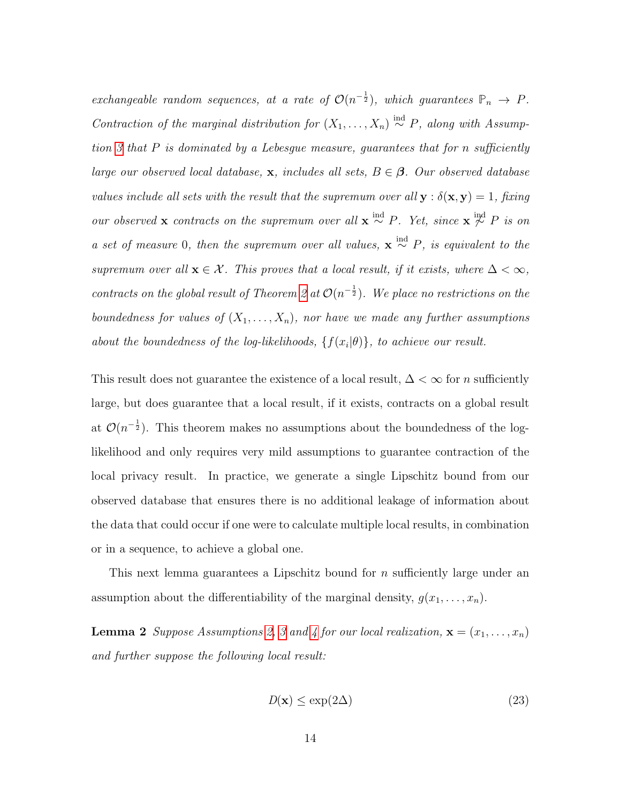exchangeable random sequences, at a rate of  $\mathcal{O}(n^{-\frac{1}{2}})$ , which guarantees  $\mathbb{P}_n \to P$ . Contraction of the marginal distribution for  $(X_1, \ldots, X_n) \stackrel{\text{ind}}{\sim} P$ , along with Assumption  $3$  that  $P$  is dominated by a Lebesgue measure, guarantees that for n sufficiently large our observed local database, x, includes all sets,  $B \in \mathcal{B}$ . Our observed database values include all sets with the result that the supremum over all  $\mathbf{y} : \delta(\mathbf{x}, \mathbf{y}) = 1$ , fixing our observed x contracts on the supremum over all  $x \stackrel{\text{ind}}{\sim} P$ . Yet, since  $x \stackrel{\text{ind}}{\sim} P$  is on a set of measure 0, then the supremum over all values,  $\mathbf{x} \stackrel{\text{ind}}{\sim} P$ , is equivalent to the supremum over all  $\mathbf{x} \in \mathcal{X}$ . This proves that a local result, if it exists, where  $\Delta < \infty$ , contracts on the global result of Theorem [2](#page-9-0) at  $\mathcal{O}(n^{-\frac{1}{2}})$ . We place no restrictions on the boundedness for values of  $(X_1, \ldots, X_n)$ , nor have we made any further assumptions about the boundedness of the log-likelihoods,  $\{f(x_i|\theta)\}\$ , to achieve our result.

This result does not guarantee the existence of a local result,  $\Delta < \infty$  for n sufficiently large, but does guarantee that a local result, if it exists, contracts on a global result at  $\mathcal{O}(n^{-\frac{1}{2}})$ . This theorem makes no assumptions about the boundedness of the loglikelihood and only requires very mild assumptions to guarantee contraction of the local privacy result. In practice, we generate a single Lipschitz bound from our observed database that ensures there is no additional leakage of information about the data that could occur if one were to calculate multiple local results, in combination or in a sequence, to achieve a global one.

This next lemma guarantees a Lipschitz bound for n sufficiently large under an assumption about the differentiability of the marginal density,  $g(x_1, \ldots, x_n)$ .

**Lemma 2** Suppose Assumptions [2,](#page-11-1) [3](#page-11-0) and [4](#page-12-0) for our local realization,  $\mathbf{x} = (x_1, \ldots, x_n)$ and further suppose the following local result:

$$
D(\mathbf{x}) \le \exp(2\Delta) \tag{23}
$$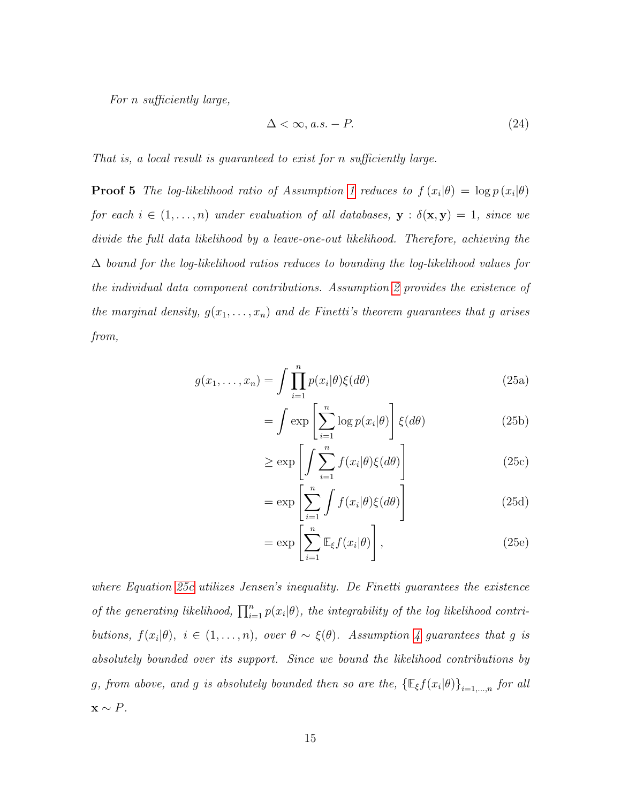For n sufficiently large,

$$
\Delta < \infty, a.s. - P. \tag{24}
$$

That is, a local result is guaranteed to exist for n sufficiently large.

**Proof 5** The log-likelihood ratio of Assumption [1](#page-8-0) reduces to  $f(x_i|\theta) = \log p(x_i|\theta)$ for each  $i \in (1, \ldots, n)$  under evaluation of all databases,  $\mathbf{y} : \delta(\mathbf{x}, \mathbf{y}) = 1$ , since we divide the full data likelihood by a leave-one-out likelihood. Therefore, achieving the  $\Delta$  bound for the log-likelihood ratios reduces to bounding the log-likelihood values for the individual data component contributions. Assumption [2](#page-11-1) provides the existence of the marginal density,  $g(x_1, \ldots, x_n)$  and de Finetti's theorem guarantees that g arises from,

$$
g(x_1,\ldots,x_n) = \int \prod_{i=1}^n p(x_i|\theta)\xi(d\theta)
$$
 (25a)

$$
= \int \exp\left[\sum_{i=1}^{n} \log p(x_i|\theta)\right] \xi(d\theta) \tag{25b}
$$

<span id="page-14-0"></span>
$$
\geq \exp\left[\int \sum_{i=1}^{n} f(x_i|\theta)\xi(d\theta)\right]
$$
\n(25c)

$$
= \exp\left[\sum_{i=1}^{n} \int f(x_i|\theta)\xi(d\theta)\right]
$$
\n(25d)

$$
= \exp\left[\sum_{i=1}^{n} \mathbb{E}_{\xi} f(x_i|\theta)\right],\tag{25e}
$$

where Equation [25c](#page-14-0) utilizes Jensen's inequality. De Finetti guarantees the existence of the generating likelihood,  $\prod_{i=1}^{n} p(x_i | \theta)$ , the integrability of the log likelihood contributions,  $f(x_i|\theta)$ ,  $i \in (1,\ldots,n)$ , over  $\theta \sim \xi(\theta)$ . Assumption [4](#page-12-0) guarantees that g is absolutely bounded over its support. Since we bound the likelihood contributions by g, from above, and g is absolutely bounded then so are the,  $\{\mathbb{E}_{\xi}f(x_i|\theta)\}_{i=1,\dots,n}$  for all  $\mathbf{x} \sim P$ .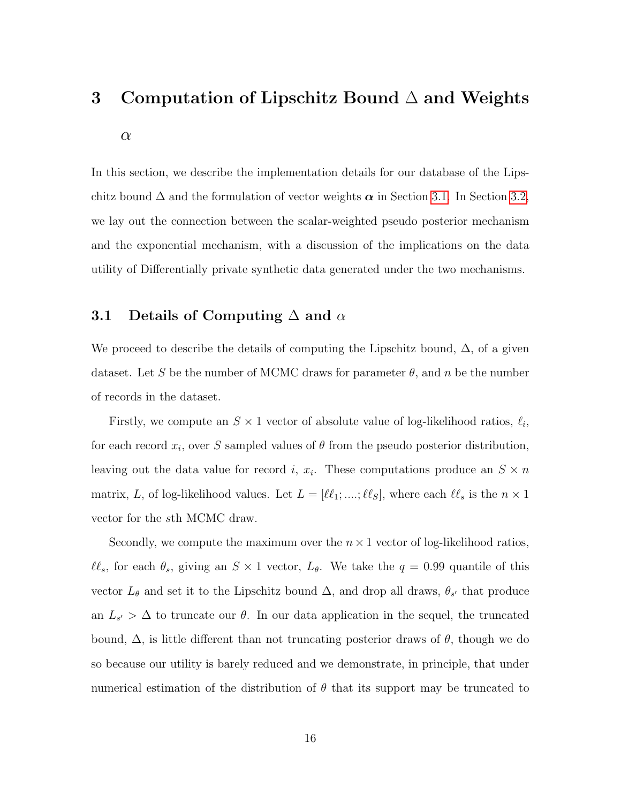# <span id="page-15-0"></span>3 Computation of Lipschitz Bound ∆ and Weights  $\alpha$

In this section, we describe the implementation details for our database of the Lipschitz bound  $\Delta$  and the formulation of vector weights  $\alpha$  in Section [3.1.](#page-15-1) In Section [3.2,](#page-16-0) we lay out the connection between the scalar-weighted pseudo posterior mechanism and the exponential mechanism, with a discussion of the implications on the data utility of Differentially private synthetic data generated under the two mechanisms.

### <span id="page-15-1"></span>3.1 Details of Computing  $\Delta$  and  $\alpha$

We proceed to describe the details of computing the Lipschitz bound,  $\Delta$ , of a given dataset. Let S be the number of MCMC draws for parameter  $\theta$ , and n be the number of records in the dataset.

Firstly, we compute an  $S \times 1$  vector of absolute value of log-likelihood ratios,  $\ell_i$ , for each record  $x_i$ , over S sampled values of  $\theta$  from the pseudo posterior distribution, leaving out the data value for record *i*,  $x_i$ . These computations produce an  $S \times n$ matrix, L, of log-likelihood values. Let  $L = [\ell \ell_1; ...; \ell \ell_S],$  where each  $\ell \ell_s$  is the  $n \times 1$ vector for the sth MCMC draw.

Secondly, we compute the maximum over the  $n \times 1$  vector of log-likelihood ratios,  $\ell\ell_s$ , for each  $\theta_s$ , giving an  $S \times 1$  vector,  $L_\theta$ . We take the  $q = 0.99$  quantile of this vector  $L_{\theta}$  and set it to the Lipschitz bound  $\Delta$ , and drop all draws,  $\theta_{s'}$  that produce an  $L_{s'} > \Delta$  to truncate our  $\theta$ . In our data application in the sequel, the truncated bound,  $\Delta$ , is little different than not truncating posterior draws of θ, though we do so because our utility is barely reduced and we demonstrate, in principle, that under numerical estimation of the distribution of  $\theta$  that its support may be truncated to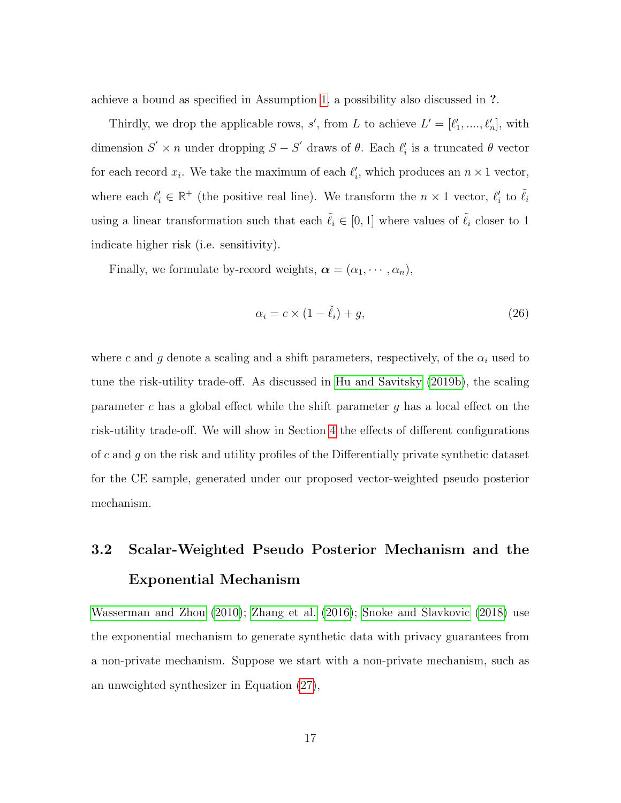achieve a bound as specified in Assumption [1,](#page-8-0) a possibility also discussed in ?.

Thirdly, we drop the applicable rows, s', from L to achieve  $L' = [\ell'_1, \ldots, \ell'_n]$ , with dimension  $S' \times n$  under dropping  $S - S'$  draws of  $\theta$ . Each  $\ell'_i$  is a truncated  $\theta$  vector for each record  $x_i$ . We take the maximum of each  $\ell'_i$ , which produces an  $n \times 1$  vector, where each  $\ell_i \in \mathbb{R}^+$  (the positive real line). We transform the  $n \times 1$  vector,  $\ell_i'$  to  $\tilde{\ell}_i$ using a linear transformation such that each  $\tilde{\ell}_i \in [0, 1]$  where values of  $\tilde{\ell}_i$  closer to  $1$ indicate higher risk (i.e. sensitivity).

Finally, we formulate by-record weights,  $\boldsymbol{\alpha} = (\alpha_1, \cdots, \alpha_n)$ ,

<span id="page-16-1"></span>
$$
\alpha_i = c \times (1 - \tilde{\ell}_i) + g,\tag{26}
$$

where c and g denote a scaling and a shift parameters, respectively, of the  $\alpha_i$  used to tune the risk-utility trade-off. As discussed in [Hu and Savitsky](#page-29-7) [\(2019b\)](#page-29-7), the scaling parameter c has a global effect while the shift parameter  $g$  has a local effect on the risk-utility trade-off. We will show in Section [4](#page-18-0) the effects of different configurations of c and g on the risk and utility profiles of the Differentially private synthetic dataset for the CE sample, generated under our proposed vector-weighted pseudo posterior mechanism.

# <span id="page-16-0"></span>3.2 Scalar-Weighted Pseudo Posterior Mechanism and the Exponential Mechanism

[Wasserman and Zhou](#page-30-0) [\(2010\)](#page-30-0); [Zhang et al.](#page-30-2) [\(2016\)](#page-30-2); [Snoke and Slavkovic](#page-30-1) [\(2018\)](#page-30-1) use the exponential mechanism to generate synthetic data with privacy guarantees from a non-private mechanism. Suppose we start with a non-private mechanism, such as an unweighted synthesizer in Equation [\(27\)](#page-17-0),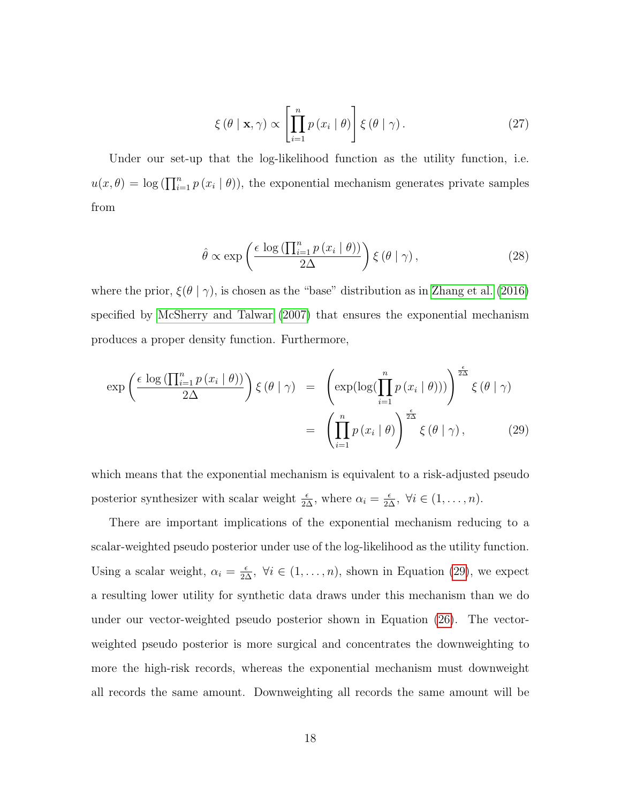<span id="page-17-0"></span>
$$
\xi(\theta \mid \mathbf{x}, \gamma) \propto \left[ \prod_{i=1}^{n} p(x_i \mid \theta) \right] \xi(\theta \mid \gamma).
$$
 (27)

Under our set-up that the log-likelihood function as the utility function, i.e.  $u(x, \theta) = \log \left( \prod_{i=1}^{n} p(x_i | \theta) \right)$ , the exponential mechanism generates private samples from

$$
\hat{\theta} \propto \exp\left(\frac{\epsilon \log\left(\prod_{i=1}^{n} p\left(x_i \mid \theta\right)\right)}{2\Delta}\right) \xi\left(\theta \mid \gamma\right),\tag{28}
$$

where the prior,  $\xi(\theta | \gamma)$ , is chosen as the "base" distribution as in [Zhang et al.](#page-30-2) [\(2016\)](#page-30-2) specified by [McSherry and Talwar](#page-29-5) [\(2007\)](#page-29-5) that ensures the exponential mechanism produces a proper density function. Furthermore,

<span id="page-17-1"></span>
$$
\exp\left(\frac{\epsilon \log\left(\prod_{i=1}^{n} p\left(x_{i} \mid \theta\right)\right)}{2\Delta}\right) \xi\left(\theta \mid \gamma\right) = \left(\exp\left(\log\left(\prod_{i=1}^{n} p\left(x_{i} \mid \theta\right)\right)\right)^{\frac{\epsilon}{2\Delta}} \xi\left(\theta \mid \gamma\right) \right) \n= \left(\prod_{i=1}^{n} p\left(x_{i} \mid \theta\right)\right)^{\frac{\epsilon}{2\Delta}} \xi\left(\theta \mid \gamma\right), \tag{29}
$$

which means that the exponential mechanism is equivalent to a risk-adjusted pseudo posterior synthesizer with scalar weight  $\frac{\epsilon}{2\Delta}$ , where  $\alpha_i = \frac{\epsilon}{2\Delta}$ ,  $\forall i \in (1, \ldots, n)$ .

There are important implications of the exponential mechanism reducing to a scalar-weighted pseudo posterior under use of the log-likelihood as the utility function. Using a scalar weight,  $\alpha_i = \frac{\epsilon}{2\Delta}$ ,  $\forall i \in (1, ..., n)$ , shown in Equation [\(29\)](#page-17-1), we expect a resulting lower utility for synthetic data draws under this mechanism than we do under our vector-weighted pseudo posterior shown in Equation [\(26\)](#page-16-1). The vectorweighted pseudo posterior is more surgical and concentrates the downweighting to more the high-risk records, whereas the exponential mechanism must downweight all records the same amount. Downweighting all records the same amount will be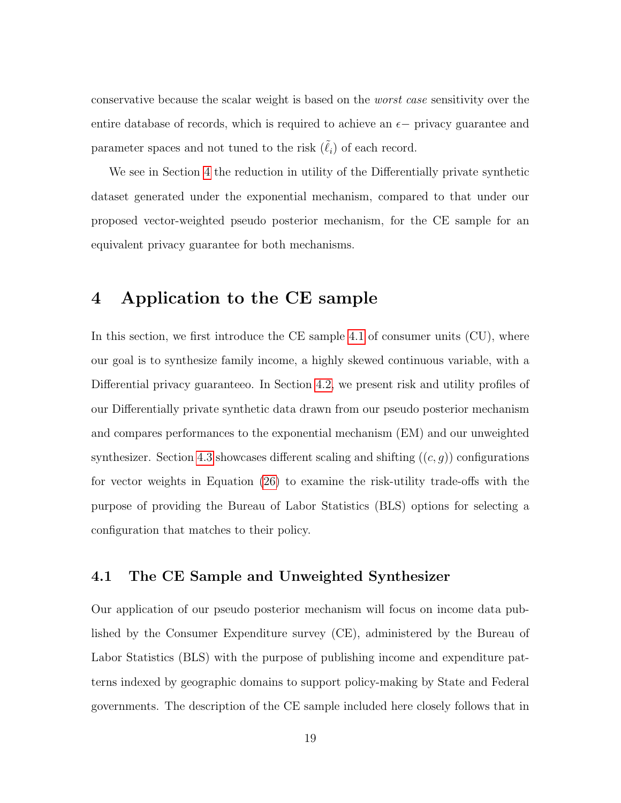conservative because the scalar weight is based on the worst case sensitivity over the entire database of records, which is required to achieve an  $\epsilon$  - privacy guarantee and parameter spaces and not tuned to the risk  $(\tilde{\ell}_i)$  of each record.

We see in Section [4](#page-18-0) the reduction in utility of the Differentially private synthetic dataset generated under the exponential mechanism, compared to that under our proposed vector-weighted pseudo posterior mechanism, for the CE sample for an equivalent privacy guarantee for both mechanisms.

## <span id="page-18-0"></span>4 Application to the CE sample

In this section, we first introduce the CE sample [4.1](#page-18-1) of consumer units (CU), where our goal is to synthesize family income, a highly skewed continuous variable, with a Differential privacy guaranteeo. In Section [4.2,](#page-21-0) we present risk and utility profiles of our Differentially private synthetic data drawn from our pseudo posterior mechanism and compares performances to the exponential mechanism (EM) and our unweighted synthesizer. Section [4.3](#page-25-0) showcases different scaling and shifting  $((c, g))$  configurations for vector weights in Equation [\(26\)](#page-16-1) to examine the risk-utility trade-offs with the purpose of providing the Bureau of Labor Statistics (BLS) options for selecting a configuration that matches to their policy.

### <span id="page-18-1"></span>4.1 The CE Sample and Unweighted Synthesizer

Our application of our pseudo posterior mechanism will focus on income data published by the Consumer Expenditure survey (CE), administered by the Bureau of Labor Statistics (BLS) with the purpose of publishing income and expenditure patterns indexed by geographic domains to support policy-making by State and Federal governments. The description of the CE sample included here closely follows that in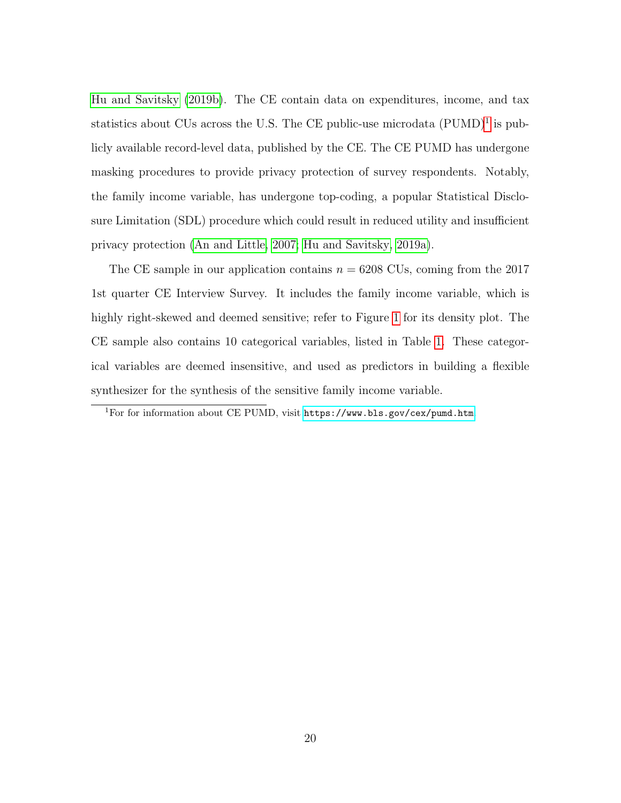[Hu and Savitsky](#page-29-7) [\(2019b\)](#page-29-7). The CE contain data on expenditures, income, and tax statistics about CUs across the U.S. The CE public-use microdata  $(PUMD)^1$  $(PUMD)^1$  is publicly available record-level data, published by the CE. The CE PUMD has undergone masking procedures to provide privacy protection of survey respondents. Notably, the family income variable, has undergone top-coding, a popular Statistical Disclosure Limitation (SDL) procedure which could result in reduced utility and insufficient privacy protection [\(An and Little, 2007;](#page-28-2) [Hu and Savitsky, 2019a\)](#page-29-6).

The CE sample in our application contains  $n = 6208$  CUs, coming from the 2017 1st quarter CE Interview Survey. It includes the family income variable, which is highly right-skewed and deemed sensitive; refer to Figure [1](#page-20-0) for its density plot. The CE sample also contains 10 categorical variables, listed in Table [1.](#page-20-1) These categorical variables are deemed insensitive, and used as predictors in building a flexible synthesizer for the synthesis of the sensitive family income variable.

<span id="page-19-0"></span><sup>1</sup>For for information about CE PUMD, visit <https://www.bls.gov/cex/pumd.htm>.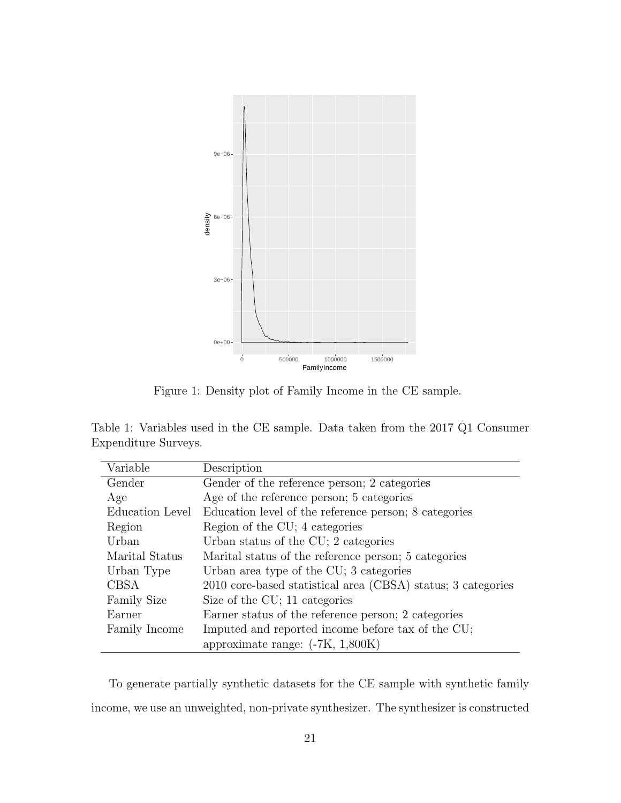<span id="page-20-0"></span>

Figure 1: Density plot of Family Income in the CE sample.

<span id="page-20-1"></span>Table 1: Variables used in the CE sample. Data taken from the 2017 Q1 Consumer Expenditure Surveys.

| Variable           | Description                                                  |
|--------------------|--------------------------------------------------------------|
| Gender             | Gender of the reference person; 2 categories                 |
| Age                | Age of the reference person; 5 categories                    |
| Education Level    | Education level of the reference person; 8 categories        |
| Region             | Region of the CU; 4 categories                               |
| Urban              | Urban status of the CU; 2 categories                         |
| Marital Status     | Marital status of the reference person; 5 categories         |
| Urban Type         | Urban area type of the CU; 3 categories                      |
| <b>CBSA</b>        | 2010 core-based statistical area (CBSA) status; 3 categories |
| <b>Family Size</b> | Size of the CU; 11 categories                                |
| Earner             | Earner status of the reference person; 2 categories          |
| Family Income      | Imputed and reported income before tax of the CU;            |
|                    | approximate range: $(-7K, 1,800K)$                           |

To generate partially synthetic datasets for the CE sample with synthetic family income, we use an unweighted, non-private synthesizer. The synthesizer is constructed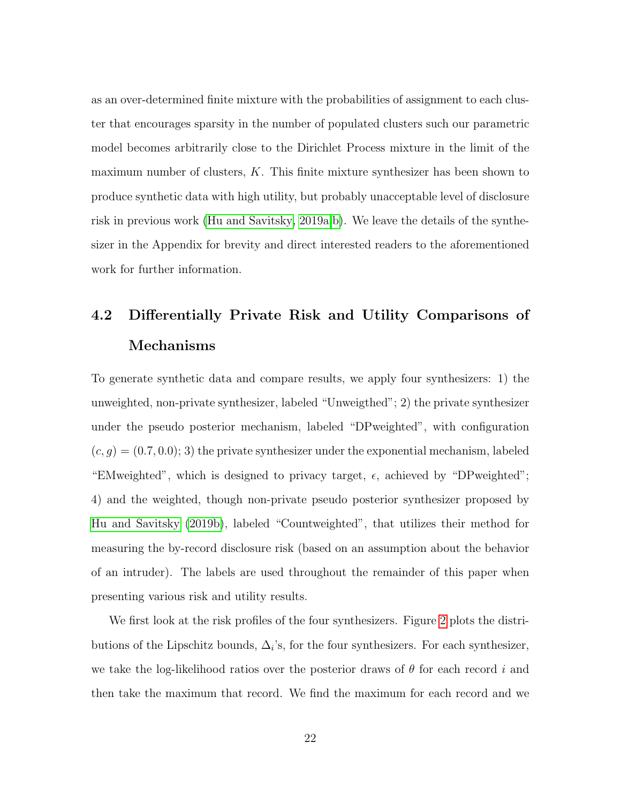as an over-determined finite mixture with the probabilities of assignment to each cluster that encourages sparsity in the number of populated clusters such our parametric model becomes arbitrarily close to the Dirichlet Process mixture in the limit of the maximum number of clusters,  $K$ . This finite mixture synthesizer has been shown to produce synthetic data with high utility, but probably unacceptable level of disclosure risk in previous work [\(Hu and Savitsky, 2019a,](#page-29-6)[b\)](#page-29-7). We leave the details of the synthesizer in the Appendix for brevity and direct interested readers to the aforementioned work for further information.

# <span id="page-21-0"></span>4.2 Differentially Private Risk and Utility Comparisons of Mechanisms

To generate synthetic data and compare results, we apply four synthesizers: 1) the unweighted, non-private synthesizer, labeled "Unweigthed"; 2) the private synthesizer under the pseudo posterior mechanism, labeled "DPweighted", with configuration  $(c, g) = (0.7, 0.0);$  3) the private synthesizer under the exponential mechanism, labeled "EMweighted", which is designed to privacy target,  $\epsilon$ , achieved by "DPweighted"; 4) and the weighted, though non-private pseudo posterior synthesizer proposed by [Hu and Savitsky](#page-29-7) [\(2019b\)](#page-29-7), labeled "Countweighted", that utilizes their method for measuring the by-record disclosure risk (based on an assumption about the behavior of an intruder). The labels are used throughout the remainder of this paper when presenting various risk and utility results.

We first look at the risk profiles of the four synthesizers. Figure [2](#page-22-0) plots the distributions of the Lipschitz bounds,  $\Delta_i$ 's, for the four synthesizers. For each synthesizer, we take the log-likelihood ratios over the posterior draws of  $\theta$  for each record i and then take the maximum that record. We find the maximum for each record and we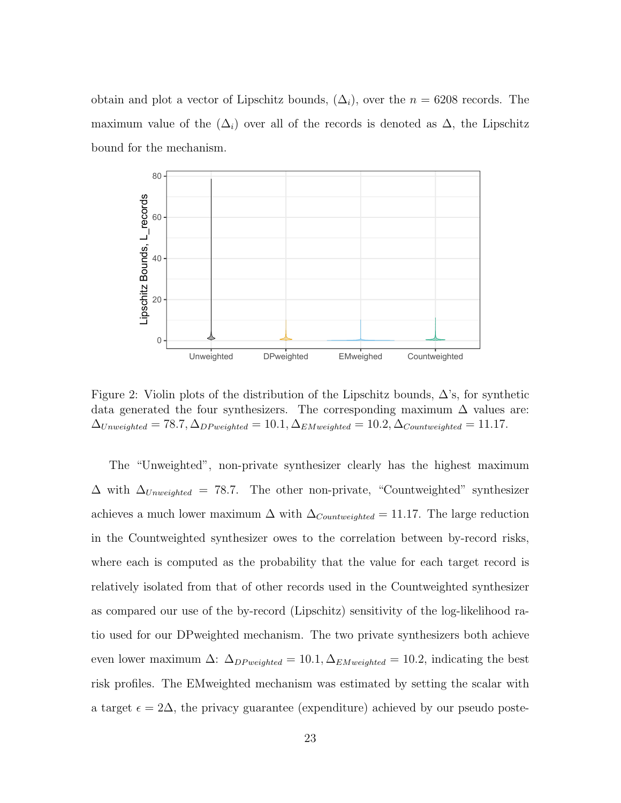obtain and plot a vector of Lipschitz bounds,  $(\Delta_i)$ , over the  $n = 6208$  records. The maximum value of the  $(\Delta_i)$  over all of the records is denoted as  $\Delta$ , the Lipschitz bound for the mechanism.

<span id="page-22-0"></span>

Figure 2: Violin plots of the distribution of the Lipschitz bounds,  $\Delta$ 's, for synthetic data generated the four synthesizers. The corresponding maximum  $\Delta$  values are:  $\Delta_{Unweighted} = 78.7, \Delta_{DP weighted} = 10.1, \Delta_{EMweighted} = 10.2, \Delta_{Countweighted} = 11.17.$ 

The "Unweighted", non-private synthesizer clearly has the highest maximum  $\Delta$  with  $\Delta_{Unweighted}$  = 78.7. The other non-private, "Countweighted" synthesizer achieves a much lower maximum  $\Delta$  with  $\Delta_{Countweighted} = 11.17$ . The large reduction in the Countweighted synthesizer owes to the correlation between by-record risks, where each is computed as the probability that the value for each target record is relatively isolated from that of other records used in the Countweighted synthesizer as compared our use of the by-record (Lipschitz) sensitivity of the log-likelihood ratio used for our DPweighted mechanism. The two private synthesizers both achieve even lower maximum  $\Delta$ :  $\Delta_{DP-weighted} = 10.1, \Delta_{EMweighted} = 10.2$ , indicating the best risk profiles. The EMweighted mechanism was estimated by setting the scalar with a target  $\epsilon = 2\Delta$ , the privacy guarantee (expenditure) achieved by our pseudo poste-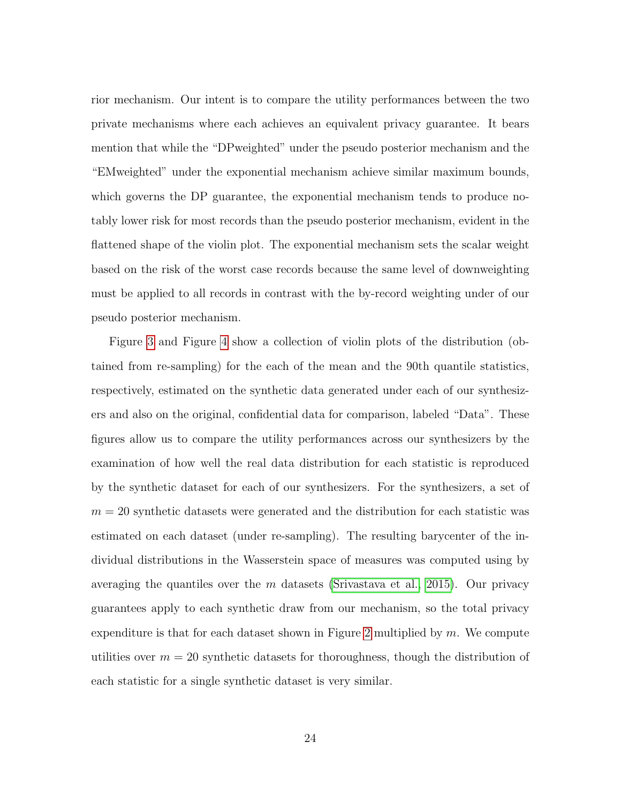rior mechanism. Our intent is to compare the utility performances between the two private mechanisms where each achieves an equivalent privacy guarantee. It bears mention that while the "DPweighted" under the pseudo posterior mechanism and the "EMweighted" under the exponential mechanism achieve similar maximum bounds, which governs the DP guarantee, the exponential mechanism tends to produce notably lower risk for most records than the pseudo posterior mechanism, evident in the flattened shape of the violin plot. The exponential mechanism sets the scalar weight based on the risk of the worst case records because the same level of downweighting must be applied to all records in contrast with the by-record weighting under of our pseudo posterior mechanism.

Figure [3](#page-24-0) and Figure [4](#page-24-1) show a collection of violin plots of the distribution (obtained from re-sampling) for the each of the mean and the 90th quantile statistics, respectively, estimated on the synthetic data generated under each of our synthesizers and also on the original, confidential data for comparison, labeled "Data". These figures allow us to compare the utility performances across our synthesizers by the examination of how well the real data distribution for each statistic is reproduced by the synthetic dataset for each of our synthesizers. For the synthesizers, a set of  $m = 20$  synthetic datasets were generated and the distribution for each statistic was estimated on each dataset (under re-sampling). The resulting barycenter of the individual distributions in the Wasserstein space of measures was computed using by averaging the quantiles over the  $m$  datasets [\(Srivastava et al., 2015\)](#page-30-3). Our privacy guarantees apply to each synthetic draw from our mechanism, so the total privacy expenditure is that for each dataset shown in Figure [2](#page-22-0) multiplied by  $m$ . We compute utilities over  $m = 20$  synthetic datasets for thoroughness, though the distribution of each statistic for a single synthetic dataset is very similar.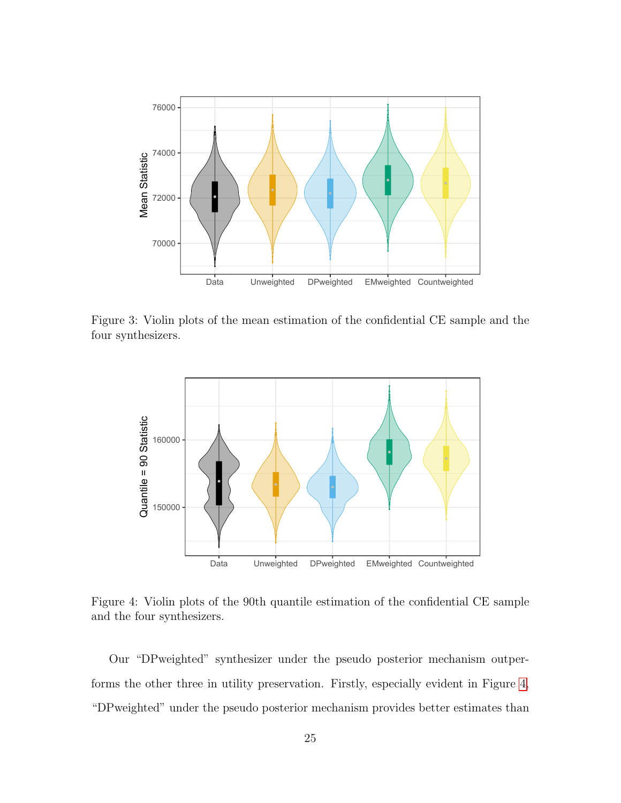<span id="page-24-0"></span>

Figure 3: Violin plots of the mean estimation of the confidential CE sample and the four synthesizers.

<span id="page-24-1"></span>

Figure 4: Violin plots of the 90th quantile estimation of the confidential CE sample and the four synthesizers.

Our "DPweighted" synthesizer under the pseudo posterior mechanism outperforms the other three in utility preservation. Firstly, especially evident in Figure [4,](#page-24-1) "DPweighted" under the pseudo posterior mechanism provides better estimates than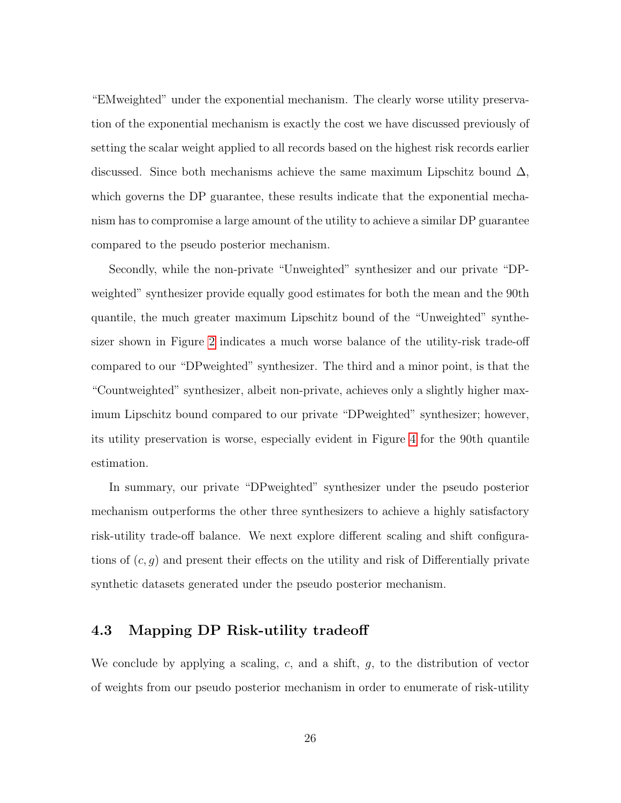"EMweighted" under the exponential mechanism. The clearly worse utility preservation of the exponential mechanism is exactly the cost we have discussed previously of setting the scalar weight applied to all records based on the highest risk records earlier discussed. Since both mechanisms achieve the same maximum Lipschitz bound  $\Delta$ , which governs the DP guarantee, these results indicate that the exponential mechanism has to compromise a large amount of the utility to achieve a similar DP guarantee compared to the pseudo posterior mechanism.

Secondly, while the non-private "Unweighted" synthesizer and our private "DPweighted" synthesizer provide equally good estimates for both the mean and the 90th quantile, the much greater maximum Lipschitz bound of the "Unweighted" synthesizer shown in Figure [2](#page-22-0) indicates a much worse balance of the utility-risk trade-off compared to our "DPweighted" synthesizer. The third and a minor point, is that the "Countweighted" synthesizer, albeit non-private, achieves only a slightly higher maximum Lipschitz bound compared to our private "DPweighted" synthesizer; however, its utility preservation is worse, especially evident in Figure [4](#page-24-1) for the 90th quantile estimation.

In summary, our private "DPweighted" synthesizer under the pseudo posterior mechanism outperforms the other three synthesizers to achieve a highly satisfactory risk-utility trade-off balance. We next explore different scaling and shift configurations of  $(c, g)$  and present their effects on the utility and risk of Differentially private synthetic datasets generated under the pseudo posterior mechanism.

### <span id="page-25-0"></span>4.3 Mapping DP Risk-utility tradeoff

We conclude by applying a scaling,  $c$ , and a shift,  $g$ , to the distribution of vector of weights from our pseudo posterior mechanism in order to enumerate of risk-utility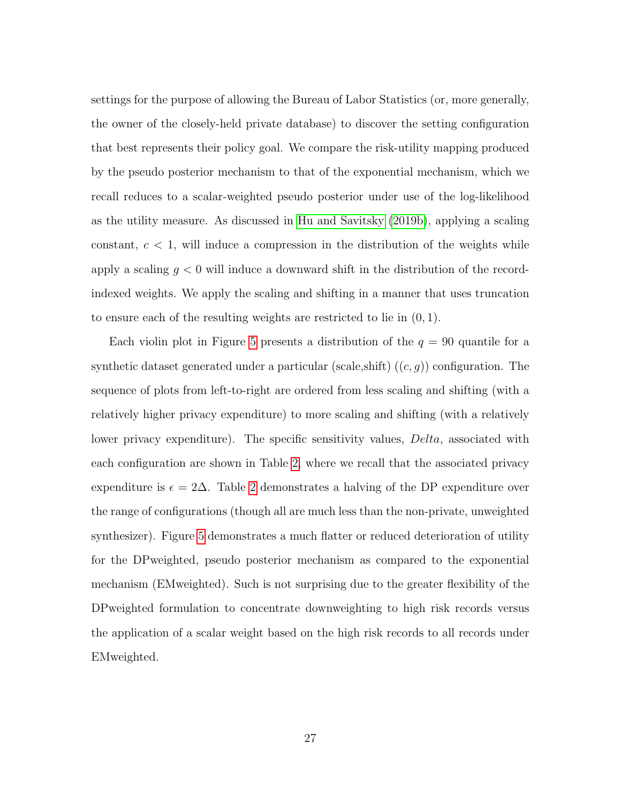settings for the purpose of allowing the Bureau of Labor Statistics (or, more generally, the owner of the closely-held private database) to discover the setting configuration that best represents their policy goal. We compare the risk-utility mapping produced by the pseudo posterior mechanism to that of the exponential mechanism, which we recall reduces to a scalar-weighted pseudo posterior under use of the log-likelihood as the utility measure. As discussed in [Hu and Savitsky](#page-29-7) [\(2019b\)](#page-29-7), applying a scaling constant,  $c < 1$ , will induce a compression in the distribution of the weights while apply a scaling  $g < 0$  will induce a downward shift in the distribution of the recordindexed weights. We apply the scaling and shifting in a manner that uses truncation to ensure each of the resulting weights are restricted to lie in (0, 1).

Each violin plot in Figure [5](#page-27-1) presents a distribution of the  $q = 90$  quantile for a synthetic dataset generated under a particular (scale, shift)  $((c, g))$  configuration. The sequence of plots from left-to-right are ordered from less scaling and shifting (with a relatively higher privacy expenditure) to more scaling and shifting (with a relatively lower privacy expenditure). The specific sensitivity values, *Delta*, associated with each configuration are shown in Table [2,](#page-27-2) where we recall that the associated privacy expenditure is  $\epsilon = 2\Delta$  $\epsilon = 2\Delta$  $\epsilon = 2\Delta$ . Table 2 demonstrates a halving of the DP expenditure over the range of configurations (though all are much less than the non-private, unweighted synthesizer). Figure [5](#page-27-1) demonstrates a much flatter or reduced deterioration of utility for the DPweighted, pseudo posterior mechanism as compared to the exponential mechanism (EMweighted). Such is not surprising due to the greater flexibility of the DPweighted formulation to concentrate downweighting to high risk records versus the application of a scalar weight based on the high risk records to all records under EMweighted.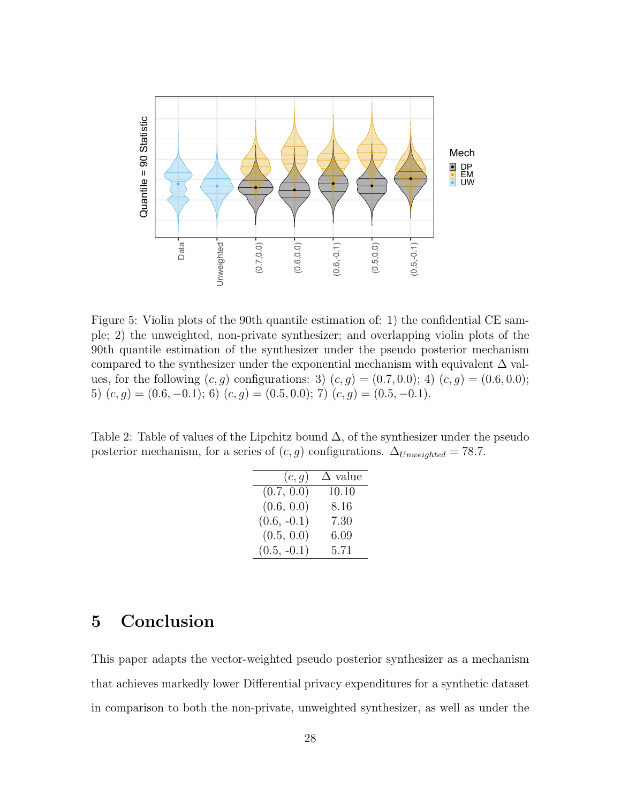<span id="page-27-1"></span>

Figure 5: Violin plots of the 90th quantile estimation of: 1) the confidential CE sample; 2) the unweighted, non-private synthesizer; and overlapping violin plots of the 90th quantile estimation of the synthesizer under the pseudo posterior mechanism compared to the synthesizer under the exponential mechanism with equivalent  $\Delta$  values, for the following  $(c, g)$  configurations: 3)  $(c, g) = (0.7, 0.0);$  4)  $(c, g) = (0.6, 0.0);$ 5)  $(c, g) = (0.6, -0.1);$  6)  $(c, g) = (0.5, 0.0);$  7)  $(c, g) = (0.5, -0.1).$ 

<span id="page-27-2"></span>Table 2: Table of values of the Lipchitz bound  $\Delta$ , of the synthesizer under the pseudo posterior mechanism, for a series of  $(c, g)$  configurations.  $\Delta_{Unweighted} = 78.7$ .

| (c, g)        | $\Delta$ value |
|---------------|----------------|
| (0.7, 0.0)    | 10.10          |
| (0.6, 0.0)    | 8.16           |
| $(0.6, -0.1)$ | 7.30           |
| (0.5, 0.0)    | 6.09           |
| $(0.5, -0.1)$ | 5.71           |

# <span id="page-27-0"></span>5 Conclusion

This paper adapts the vector-weighted pseudo posterior synthesizer as a mechanism that achieves markedly lower Differential privacy expenditures for a synthetic dataset in comparison to both the non-private, unweighted synthesizer, as well as under the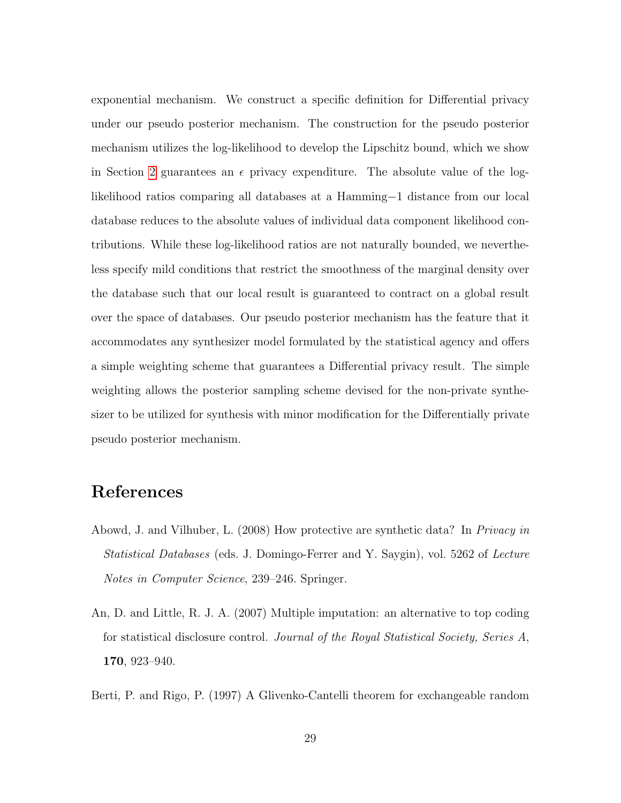exponential mechanism. We construct a specific definition for Differential privacy under our pseudo posterior mechanism. The construction for the pseudo posterior mechanism utilizes the log-likelihood to develop the Lipschitz bound, which we show in Section [2](#page-5-0) guarantees an  $\epsilon$  privacy expenditure. The absolute value of the loglikelihood ratios comparing all databases at a Hamming−1 distance from our local database reduces to the absolute values of individual data component likelihood contributions. While these log-likelihood ratios are not naturally bounded, we nevertheless specify mild conditions that restrict the smoothness of the marginal density over the database such that our local result is guaranteed to contract on a global result over the space of databases. Our pseudo posterior mechanism has the feature that it accommodates any synthesizer model formulated by the statistical agency and offers a simple weighting scheme that guarantees a Differential privacy result. The simple weighting allows the posterior sampling scheme devised for the non-private synthesizer to be utilized for synthesis with minor modification for the Differentially private pseudo posterior mechanism.

# References

- <span id="page-28-0"></span>Abowd, J. and Vilhuber, L. (2008) How protective are synthetic data? In Privacy in Statistical Databases (eds. J. Domingo-Ferrer and Y. Saygin), vol. 5262 of Lecture Notes in Computer Science, 239–246. Springer.
- <span id="page-28-2"></span>An, D. and Little, R. J. A. (2007) Multiple imputation: an alternative to top coding for statistical disclosure control. Journal of the Royal Statistical Society, Series A, 170, 923–940.
- <span id="page-28-1"></span>Berti, P. and Rigo, P. (1997) A Glivenko-Cantelli theorem for exchangeable random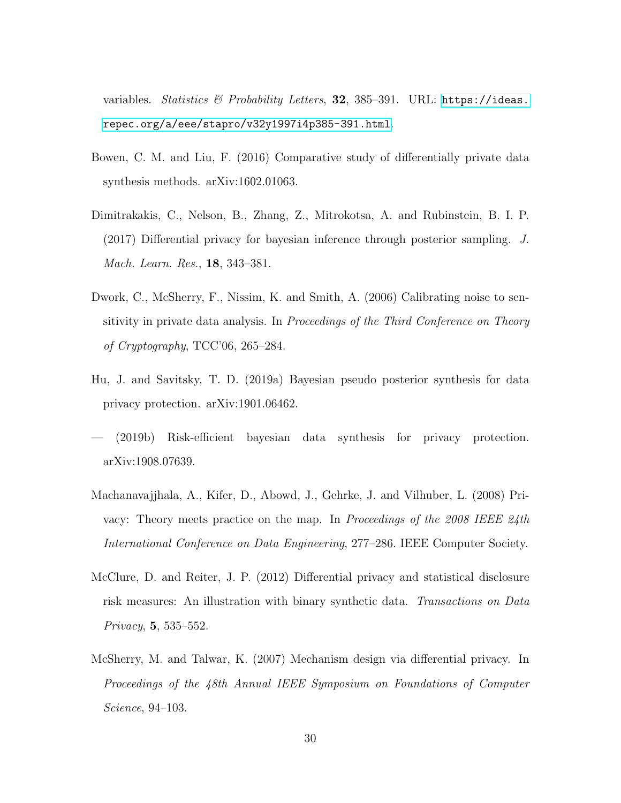variables. Statistics & Probability Letters, 32, 385-391. URL: [https://ideas.](https://ideas.repec.org/a/eee/stapro/v32y1997i4p385-391.html) [repec.org/a/eee/stapro/v32y1997i4p385-391.html](https://ideas.repec.org/a/eee/stapro/v32y1997i4p385-391.html).

- <span id="page-29-4"></span>Bowen, C. M. and Liu, F. (2016) Comparative study of differentially private data synthesis methods. arXiv:1602.01063.
- <span id="page-29-1"></span>Dimitrakakis, C., Nelson, B., Zhang, Z., Mitrokotsa, A. and Rubinstein, B. I. P. (2017) Differential privacy for bayesian inference through posterior sampling. J. Mach. Learn. Res., 18, 343–381.
- <span id="page-29-0"></span>Dwork, C., McSherry, F., Nissim, K. and Smith, A. (2006) Calibrating noise to sensitivity in private data analysis. In Proceedings of the Third Conference on Theory of Cryptography, TCC'06, 265–284.
- <span id="page-29-6"></span>Hu, J. and Savitsky, T. D. (2019a) Bayesian pseudo posterior synthesis for data privacy protection. arXiv:1901.06462.
- <span id="page-29-7"></span>— (2019b) Risk-efficient bayesian data synthesis for privacy protection. arXiv:1908.07639.
- <span id="page-29-2"></span>Machanavajjhala, A., Kifer, D., Abowd, J., Gehrke, J. and Vilhuber, L. (2008) Privacy: Theory meets practice on the map. In Proceedings of the 2008 IEEE 24th International Conference on Data Engineering, 277–286. IEEE Computer Society.
- <span id="page-29-3"></span>McClure, D. and Reiter, J. P. (2012) Differential privacy and statistical disclosure risk measures: An illustration with binary synthetic data. Transactions on Data Privacy, 5, 535–552.
- <span id="page-29-5"></span>McSherry, M. and Talwar, K. (2007) Mechanism design via differential privacy. In Proceedings of the 48th Annual IEEE Symposium on Foundations of Computer Science, 94–103.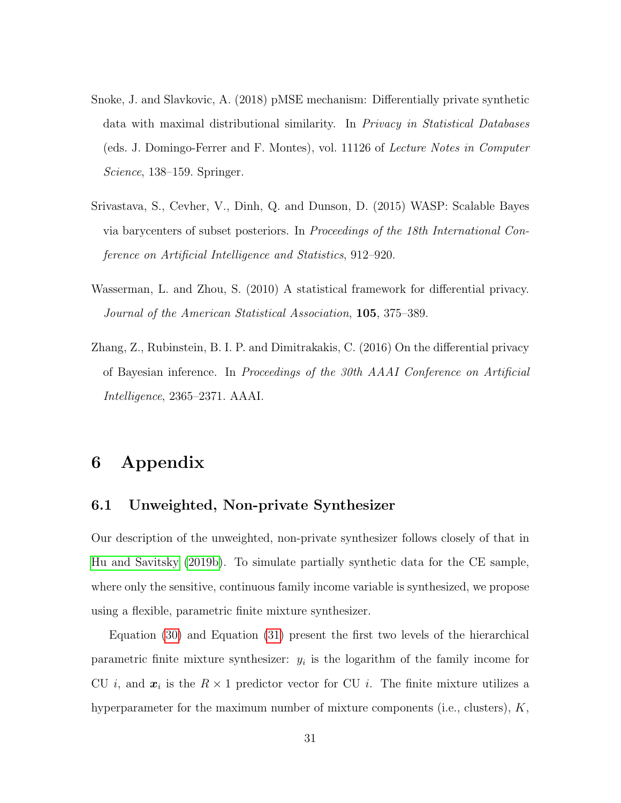- <span id="page-30-1"></span>Snoke, J. and Slavkovic, A. (2018) pMSE mechanism: Differentially private synthetic data with maximal distributional similarity. In Privacy in Statistical Databases (eds. J. Domingo-Ferrer and F. Montes), vol. 11126 of Lecture Notes in Computer Science, 138–159. Springer.
- <span id="page-30-3"></span>Srivastava, S., Cevher, V., Dinh, Q. and Dunson, D. (2015) WASP: Scalable Bayes via barycenters of subset posteriors. In Proceedings of the 18th International Conference on Artificial Intelligence and Statistics, 912–920.
- <span id="page-30-0"></span>Wasserman, L. and Zhou, S. (2010) A statistical framework for differential privacy. Journal of the American Statistical Association, 105, 375–389.
- <span id="page-30-2"></span>Zhang, Z., Rubinstein, B. I. P. and Dimitrakakis, C. (2016) On the differential privacy of Bayesian inference. In Proceedings of the 30th AAAI Conference on Artificial Intelligence, 2365–2371. AAAI.

# 6 Appendix

### 6.1 Unweighted, Non-private Synthesizer

Our description of the unweighted, non-private synthesizer follows closely of that in [Hu and Savitsky](#page-29-7) [\(2019b\)](#page-29-7). To simulate partially synthetic data for the CE sample, where only the sensitive, continuous family income variable is synthesized, we propose using a flexible, parametric finite mixture synthesizer.

Equation [\(30\)](#page-31-0) and Equation [\(31\)](#page-31-0) present the first two levels of the hierarchical parametric finite mixture synthesizer:  $y_i$  is the logarithm of the family income for CU *i*, and  $x_i$  is the  $R \times 1$  predictor vector for CU *i*. The finite mixture utilizes a hyperparameter for the maximum number of mixture components (i.e., clusters), K,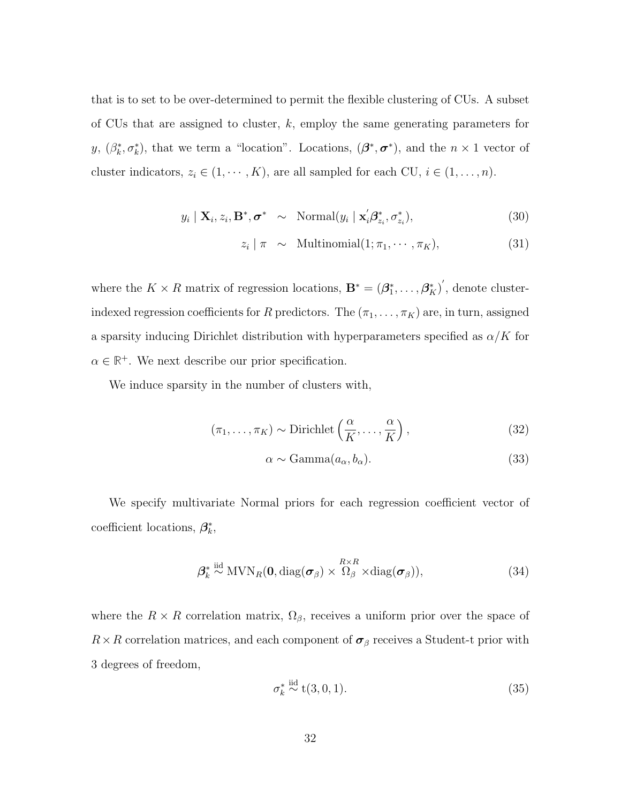that is to set to be over-determined to permit the flexible clustering of CUs. A subset of CUs that are assigned to cluster, k, employ the same generating parameters for y,  $(\beta_k^*, \sigma_k^*)$ , that we term a "location". Locations,  $(\beta^*, \sigma^*)$ , and the  $n \times 1$  vector of cluster indicators,  $z_i \in (1, \dots, K)$ , are all sampled for each CU,  $i \in (1, \dots, n)$ .

<span id="page-31-0"></span>
$$
y_i \mid \mathbf{X}_i, z_i, \mathbf{B}^*, \sigma^* \sim \text{Normal}(y_i \mid \mathbf{x}_i' \boldsymbol{\beta}_{z_i}^*, \sigma_{z_i}^*), \tag{30}
$$

$$
z_i \mid \pi \sim \text{Multinomial}(1; \pi_1, \cdots, \pi_K), \tag{31}
$$

where the  $K \times R$  matrix of regression locations,  $\mathbf{B}^* = (\beta_1^*, \ldots, \beta_K^*)^{\prime}$ , denote clusterindexed regression coefficients for R predictors. The  $(\pi_1, \ldots, \pi_K)$  are, in turn, assigned a sparsity inducing Dirichlet distribution with hyperparameters specified as  $\alpha/K$  for  $\alpha \in \mathbb{R}^+$ . We next describe our prior specification.

We induce sparsity in the number of clusters with,

$$
(\pi_1, \dots, \pi_K) \sim \text{Dirichlet}\left(\frac{\alpha}{K}, \dots, \frac{\alpha}{K}\right),\tag{32}
$$

$$
\alpha \sim \text{Gamma}(a_{\alpha}, b_{\alpha}).\tag{33}
$$

We specify multivariate Normal priors for each regression coefficient vector of coefficient locations,  $\beta_k^*$ ,

$$
\beta_k^* \stackrel{\text{iid}}{\sim} \text{MVN}_R(\mathbf{0}, \text{diag}(\boldsymbol{\sigma}_{\beta}) \times \stackrel{R \times R}{\Omega_{\beta}} \times \text{diag}(\boldsymbol{\sigma}_{\beta})), \tag{34}
$$

where the  $R \times R$  correlation matrix,  $\Omega_{\beta}$ , receives a uniform prior over the space of  $R \times R$  correlation matrices, and each component of  $\sigma_\beta$  receives a Student-t prior with 3 degrees of freedom,

$$
\sigma_k^* \stackrel{\text{iid}}{\sim} t(3,0,1). \tag{35}
$$